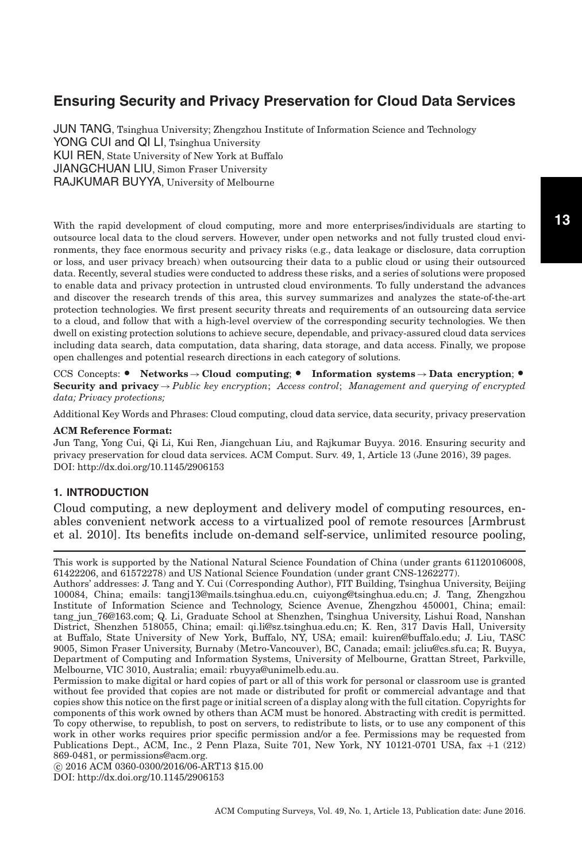JUN TANG, Tsinghua University; Zhengzhou Institute of Information Science and Technology YONG CUI and QI LI, Tsinghua University KUI REN, State University of New York at Buffalo JIANGCHUAN LIU, Simon Fraser University RAJKUMAR BUYYA, University of Melbourne

With the rapid development of cloud computing, more and more enterprises/individuals are starting to outsource local data to the cloud servers. However, under open networks and not fully trusted cloud environments, they face enormous security and privacy risks (e.g., data leakage or disclosure, data corruption or loss, and user privacy breach) when outsourcing their data to a public cloud or using their outsourced data. Recently, several studies were conducted to address these risks, and a series of solutions were proposed to enable data and privacy protection in untrusted cloud environments. To fully understand the advances and discover the research trends of this area, this survey summarizes and analyzes the state-of-the-art protection technologies. We first present security threats and requirements of an outsourcing data service to a cloud, and follow that with a high-level overview of the corresponding security technologies. We then dwell on existing protection solutions to achieve secure, dependable, and privacy-assured cloud data services including data search, data computation, data sharing, data storage, and data access. Finally, we propose open challenges and potential research directions in each category of solutions.

CCS Concepts: • Networks → Cloud computing; • Information systems → Data encryption; • **Security and privacy**→*Public key encryption*; *Access control*; *Management and querying of encrypted data; Privacy protections;*

Additional Key Words and Phrases: Cloud computing, cloud data service, data security, privacy preservation

#### **ACM Reference Format:**

Jun Tang, Yong Cui, Qi Li, Kui Ren, Jiangchuan Liu, and Rajkumar Buyya. 2016. Ensuring security and privacy preservation for cloud data services. ACM Comput. Surv. 49, 1, Article 13 (June 2016), 39 pages. DOI:<http://dx.doi.org/10.1145/2906153>

#### **1. INTRODUCTION**

Cloud computing, a new deployment and delivery model of computing resources, enables convenient network access to a virtualized pool of remote resources [Armbrust et al. [2010\]](#page-33-0). Its benefits include on-demand self-service, unlimited resource pooling,

This work is supported by the National Natural Science Foundation of China (under grants 61120106008, 61422206, and 61572278) and US National Science Foundation (under grant CNS-1262277).

Authors' addresses: J. Tang and Y. Cui (Corresponding Author), FIT Building, Tsinghua University, Beijing 100084, China; emails: tangj13@mails.tsinghua.edu.cn, cuiyong@tsinghua.edu.cn; J. Tang, Zhengzhou Institute of Information Science and Technology, Science Avenue, Zhengzhou 450001, China; email: tang\_jun\_76@163.com; Q. Li, Graduate School at Shenzhen, Tsinghua University, Lishui Road, Nanshan District, Shenzhen 518055, China; email: qi.li@sz.tsinghua.edu.cn; K. Ren, 317 Davis Hall, University at Buffalo, State University of New York, Buffalo, NY, USA; email: kuiren@buffalo.edu; J. Liu, TASC 9005, Simon Fraser University, Burnaby (Metro-Vancouver), BC, Canada; email: jcliu@cs.sfu.ca; R. Buyya, Department of Computing and Information Systems, University of Melbourne, Grattan Street, Parkville, Melbourne, VIC 3010, Australia; email: rbuyya@unimelb.edu.au.

Permission to make digital or hard copies of part or all of this work for personal or classroom use is granted without fee provided that copies are not made or distributed for profit or commercial advantage and that copies show this notice on the first page or initial screen of a display along with the full citation. Copyrights for components of this work owned by others than ACM must be honored. Abstracting with credit is permitted. To copy otherwise, to republish, to post on servers, to redistribute to lists, or to use any component of this work in other works requires prior specific permission and/or a fee. Permissions may be requested from Publications Dept., ACM, Inc., 2 Penn Plaza, Suite 701, New York, NY 10121-0701 USA, fax +1 (212) 869-0481, or permissions@acm.org.

-c 2016 ACM 0360-0300/2016/06-ART13 \$15.00 DOI:<http://dx.doi.org/10.1145/2906153>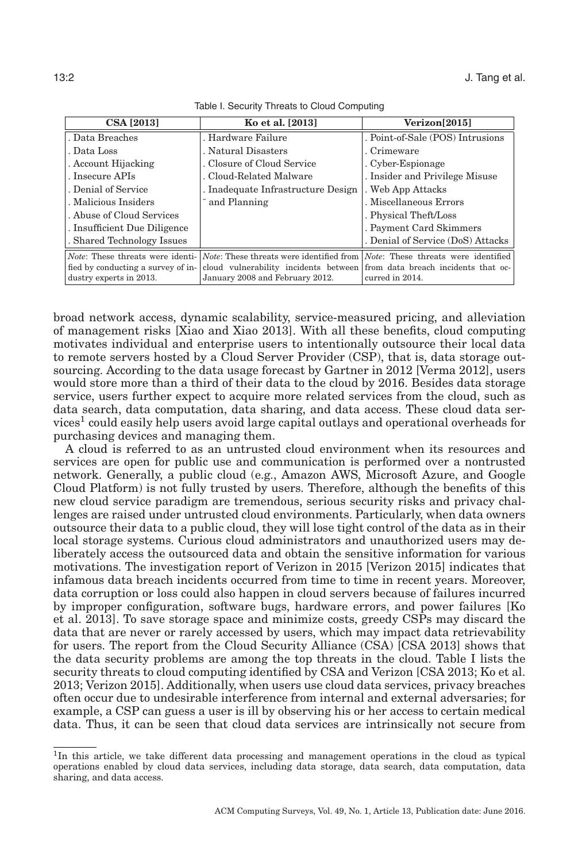<span id="page-1-1"></span>

| <b>CSA</b> [2013]            | Ko et al. [2013]                                                                                                                      | Verizon[2015]                     |
|------------------------------|---------------------------------------------------------------------------------------------------------------------------------------|-----------------------------------|
| . Data Breaches              | . Hardware Failure                                                                                                                    | . Point-of-Sale (POS) Intrusions  |
| . Data Loss                  | . Natural Disasters                                                                                                                   | . Crimeware                       |
| . Account Hijacking          | . Closure of Cloud Service                                                                                                            | . Cyber-Espionage                 |
| . Insecure APIs              | . Cloud-Related Malware                                                                                                               | . Insider and Privilege Misuse    |
| . Denial of Service          | . Inadequate Infrastructure Design                                                                                                    | . Web App Attacks                 |
| . Malicious Insiders         | and Planning                                                                                                                          | . Miscellaneous Errors            |
| . Abuse of Cloud Services    |                                                                                                                                       | . Physical Theft/Loss             |
| . Insufficient Due Diligence |                                                                                                                                       | . Payment Card Skimmers           |
| . Shared Technology Issues   |                                                                                                                                       | . Denial of Service (DoS) Attacks |
|                              | <i>Note</i> : These threats were identi- <i>Note</i> : These threats were identified from <i>Note</i> : These threats were identified |                                   |
|                              | fied by conducting a survey of in- cloud vulnerability incidents between from data breach incidents that oc-                          |                                   |
| dustry experts in 2013.      | January 2008 and February 2012.                                                                                                       | curred in 2014.                   |

Table I. Security Threats to Cloud Computing

broad network access, dynamic scalability, service-measured pricing, and alleviation of management risks [Xiao and Xiao [2013\]](#page-38-0). With all these benefits, cloud computing motivates individual and enterprise users to intentionally outsource their local data to remote servers hosted by a Cloud Server Provider (CSP), that is, data storage outsourcing. According to the data usage forecast by Gartner in 2012 [Verma [2012\]](#page-37-0), users would store more than a third of their data to the cloud by 2016. Besides data storage service, users further expect to acquire more related services from the cloud, such as data search, data computation, data sharing, and data access. These cloud data ser-vices<sup>[1](#page-1-0)</sup> could easily help users avoid large capital outlays and operational overheads for purchasing devices and managing them.

A cloud is referred to as an untrusted cloud environment when its resources and services are open for public use and communication is performed over a nontrusted network. Generally, a public cloud (e.g., Amazon AWS, Microsoft Azure, and Google Cloud Platform) is not fully trusted by users. Therefore, although the benefits of this new cloud service paradigm are tremendous, serious security risks and privacy challenges are raised under untrusted cloud environments. Particularly, when data owners outsource their data to a public cloud, they will lose tight control of the data as in their local storage systems. Curious cloud administrators and unauthorized users may deliberately access the outsourced data and obtain the sensitive information for various motivations. The investigation report of Verizon in 2015 [Verizon [2015\]](#page-37-1) indicates that infamous data breach incidents occurred from time to time in recent years. Moreover, data corruption or loss could also happen in cloud servers because of failures incurred by improper configuration, software bugs, hardware errors, and power failures [Ko et al. [2013\]](#page-35-0). To save storage space and minimize costs, greedy CSPs may discard the data that are never or rarely accessed by users, which may impact data retrievability for users. The report from the Cloud Security Alliance (CSA) [CSA [2013\]](#page-33-1) shows that the data security problems are among the top threats in the cloud. Table [I](#page-1-1) lists the security threats to cloud computing identified by CSA and Verizon [CSA [2013;](#page-33-1) Ko et al. [2013;](#page-35-0) Verizon [2015\]](#page-37-1). Additionally, when users use cloud data services, privacy breaches often occur due to undesirable interference from internal and external adversaries; for example, a CSP can guess a user is ill by observing his or her access to certain medical data. Thus, it can be seen that cloud data services are intrinsically not secure from

<span id="page-1-0"></span><sup>&</sup>lt;sup>1</sup>In this article, we take different data processing and management operations in the cloud as typical operations enabled by cloud data services, including data storage, data search, data computation, data sharing, and data access.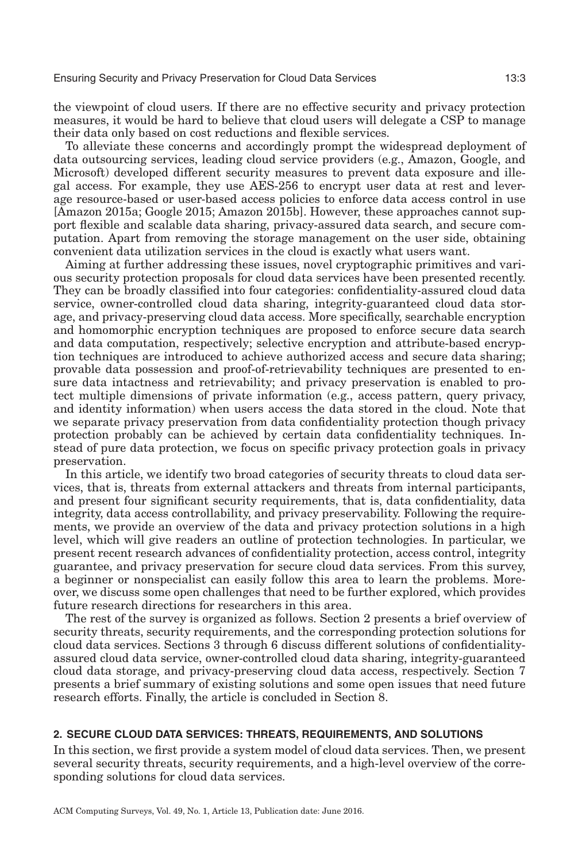the viewpoint of cloud users. If there are no effective security and privacy protection measures, it would be hard to believe that cloud users will delegate a CSP to manage their data only based on cost reductions and flexible services.

To alleviate these concerns and accordingly prompt the widespread deployment of data outsourcing services, leading cloud service providers (e.g., Amazon, Google, and Microsoft) developed different security measures to prevent data exposure and illegal access. For example, they use AES-256 to encrypt user data at rest and leverage resource-based or user-based access policies to enforce data access control in use [Amazon [2015a;](#page-32-0) Google [2015;](#page-35-1) Amazon [2015b\]](#page-32-1). However, these approaches cannot support flexible and scalable data sharing, privacy-assured data search, and secure computation. Apart from removing the storage management on the user side, obtaining convenient data utilization services in the cloud is exactly what users want.

Aiming at further addressing these issues, novel cryptographic primitives and various security protection proposals for cloud data services have been presented recently. They can be broadly classified into four categories: confidentiality-assured cloud data service, owner-controlled cloud data sharing, integrity-guaranteed cloud data storage, and privacy-preserving cloud data access. More specifically, searchable encryption and homomorphic encryption techniques are proposed to enforce secure data search and data computation, respectively; selective encryption and attribute-based encryption techniques are introduced to achieve authorized access and secure data sharing; provable data possession and proof-of-retrievability techniques are presented to ensure data intactness and retrievability; and privacy preservation is enabled to protect multiple dimensions of private information (e.g., access pattern, query privacy, and identity information) when users access the data stored in the cloud. Note that we separate privacy preservation from data confidentiality protection though privacy protection probably can be achieved by certain data confidentiality techniques. Instead of pure data protection, we focus on specific privacy protection goals in privacy preservation.

In this article, we identify two broad categories of security threats to cloud data services, that is, threats from external attackers and threats from internal participants, and present four significant security requirements, that is, data confidentiality, data integrity, data access controllability, and privacy preservability. Following the requirements, we provide an overview of the data and privacy protection solutions in a high level, which will give readers an outline of protection technologies. In particular, we present recent research advances of confidentiality protection, access control, integrity guarantee, and privacy preservation for secure cloud data services. From this survey, a beginner or nonspecialist can easily follow this area to learn the problems. Moreover, we discuss some open challenges that need to be further explored, which provides future research directions for researchers in this area.

The rest of the survey is organized as follows. Section [2](#page-2-0) presents a brief overview of security threats, security requirements, and the corresponding protection solutions for cloud data services. Sections [3](#page-6-0) through 6 discuss different solutions of confidentialityassured cloud data service, owner-controlled cloud data sharing, integrity-guaranteed cloud data storage, and privacy-preserving cloud data access, respectively. Section [7](#page-26-0) presents a brief summary of existing solutions and some open issues that need future research efforts. Finally, the article is concluded in Section [8.](#page-32-2)

## **2. SECURE CLOUD DATA SERVICES: THREATS, REQUIREMENTS, AND SOLUTIONS**

<span id="page-2-0"></span>In this section, we first provide a system model of cloud data services. Then, we present several security threats, security requirements, and a high-level overview of the corresponding solutions for cloud data services.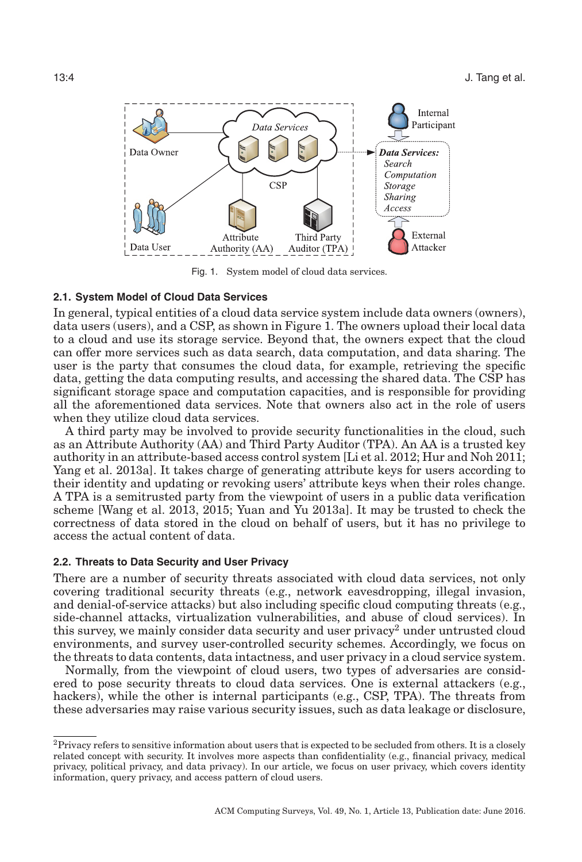<span id="page-3-0"></span>

Fig. 1. System model of cloud data services.

## **2.1. System Model of Cloud Data Services**

In general, typical entities of a cloud data service system include data owners (owners), data users (users), and a CSP, as shown in Figure [1.](#page-3-0) The owners upload their local data to a cloud and use its storage service. Beyond that, the owners expect that the cloud can offer more services such as data search, data computation, and data sharing. The user is the party that consumes the cloud data, for example, retrieving the specific data, getting the data computing results, and accessing the shared data. The CSP has significant storage space and computation capacities, and is responsible for providing all the aforementioned data services. Note that owners also act in the role of users when they utilize cloud data services.

A third party may be involved to provide security functionalities in the cloud, such as an Attribute Authority (AA) and Third Party Auditor (TPA). An AA is a trusted key authority in an attribute-based access control system [Li et al. [2012;](#page-35-2) Hur and Noh [2011;](#page-35-3) Yang et al. [2013a\]](#page-38-1). It takes charge of generating attribute keys for users according to their identity and updating or revoking users' attribute keys when their roles change. A TPA is a semitrusted party from the viewpoint of users in a public data verification scheme [Wang et al. [2013,](#page-37-2) [2015;](#page-37-3) Yuan and Yu [2013a\]](#page-38-2). It may be trusted to check the correctness of data stored in the cloud on behalf of users, but it has no privilege to access the actual content of data.

#### **2.2. Threats to Data Security and User Privacy**

There are a number of security threats associated with cloud data services, not only covering traditional security threats (e.g., network eavesdropping, illegal invasion, and denial-of-service attacks) but also including specific cloud computing threats (e.g., side-channel attacks, virtualization vulnerabilities, and abuse of cloud services). In this survey, we mainly consider data security and user privacy<sup>2</sup> under untrusted cloud environments, and survey user-controlled security schemes. Accordingly, we focus on the threats to data contents, data intactness, and user privacy in a cloud service system.

Normally, from the viewpoint of cloud users, two types of adversaries are considered to pose security threats to cloud data services. One is external attackers (e.g., hackers), while the other is internal participants (e.g., CSP, TPA). The threats from these adversaries may raise various security issues, such as data leakage or disclosure,

<span id="page-3-1"></span> ${}^{2}$ Privacy refers to sensitive information about users that is expected to be secluded from others. It is a closely related concept with security. It involves more aspects than confidentiality (e.g., financial privacy, medical privacy, political privacy, and data privacy). In our article, we focus on user privacy, which covers identity information, query privacy, and access pattern of cloud users.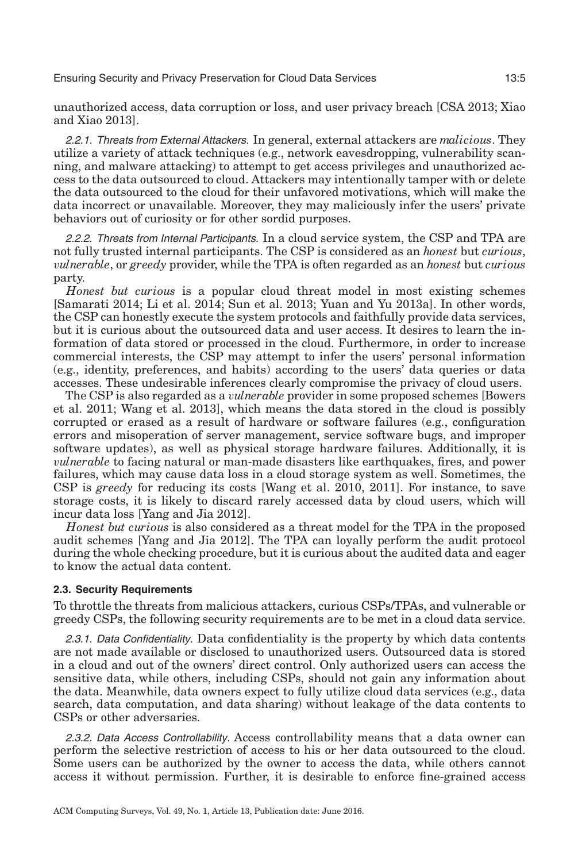unauthorized access, data corruption or loss, and user privacy breach [CSA [2013;](#page-33-1) Xiao and Xiao [2013\]](#page-38-0).

2.2.1. Threats from External Attackers. In general, external attackers are *malicious*. They utilize a variety of attack techniques (e.g., network eavesdropping, vulnerability scanning, and malware attacking) to attempt to get access privileges and unauthorized access to the data outsourced to cloud. Attackers may intentionally tamper with or delete the data outsourced to the cloud for their unfavored motivations, which will make the data incorrect or unavailable. Moreover, they may maliciously infer the users' private behaviors out of curiosity or for other sordid purposes.

2.2.2. Threats from Internal Participants. In a cloud service system, the CSP and TPA are not fully trusted internal participants. The CSP is considered as an *honest* but *curious*, v*ulnerable*, or *greedy* provider, while the TPA is often regarded as an *honest* but *curious* party.

*Honest but curious* is a popular cloud threat model in most existing schemes [Samarati [2014;](#page-36-0) Li et al. [2014;](#page-36-1) Sun et al. [2013;](#page-37-4) Yuan and Yu [2013a\]](#page-38-2). In other words, the CSP can honestly execute the system protocols and faithfully provide data services, but it is curious about the outsourced data and user access. It desires to learn the information of data stored or processed in the cloud. Furthermore, in order to increase commercial interests, the CSP may attempt to infer the users' personal information (e.g., identity, preferences, and habits) according to the users' data queries or data accesses. These undesirable inferences clearly compromise the privacy of cloud users.

The CSP is also regarded as a v*ulnerable* provider in some proposed schemes [Bowers et al. [2011;](#page-33-2) Wang et al. [2013\]](#page-37-2), which means the data stored in the cloud is possibly corrupted or erased as a result of hardware or software failures (e.g., configuration errors and misoperation of server management, service software bugs, and improper software updates), as well as physical storage hardware failures. Additionally, it is v*ulnerable* to facing natural or man-made disasters like earthquakes, fires, and power failures, which may cause data loss in a cloud storage system as well. Sometimes, the CSP is *greedy* for reducing its costs [Wang et al. [2010,](#page-37-5) [2011\]](#page-38-3). For instance, to save storage costs, it is likely to discard rarely accessed data by cloud users, which will incur data loss [Yang and Jia [2012\]](#page-38-4).

*Honest but curious* is also considered as a threat model for the TPA in the proposed audit schemes [Yang and Jia [2012\]](#page-38-4). The TPA can loyally perform the audit protocol during the whole checking procedure, but it is curious about the audited data and eager to know the actual data content.

#### **2.3. Security Requirements**

To throttle the threats from malicious attackers, curious CSPs/TPAs, and vulnerable or greedy CSPs, the following security requirements are to be met in a cloud data service.

2.3.1. Data Confidentiality. Data confidentiality is the property by which data contents are not made available or disclosed to unauthorized users. Outsourced data is stored in a cloud and out of the owners' direct control. Only authorized users can access the sensitive data, while others, including CSPs, should not gain any information about the data. Meanwhile, data owners expect to fully utilize cloud data services (e.g., data search, data computation, and data sharing) without leakage of the data contents to CSPs or other adversaries.

2.3.2. Data Access Controllability. Access controllability means that a data owner can perform the selective restriction of access to his or her data outsourced to the cloud. Some users can be authorized by the owner to access the data, while others cannot access it without permission. Further, it is desirable to enforce fine-grained access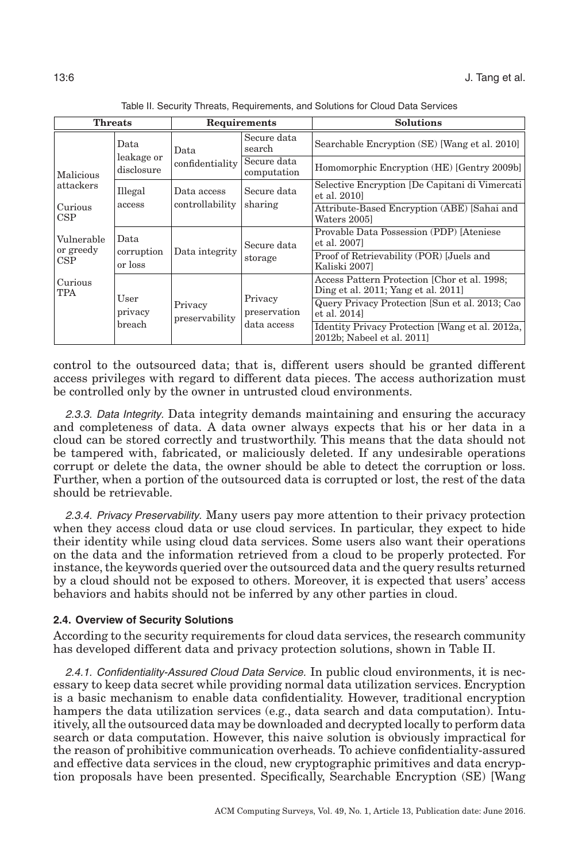<span id="page-5-0"></span>

| <b>Threats</b>                                                |                                      | Requirements                   |                            | <b>Solutions</b>                                                                    |
|---------------------------------------------------------------|--------------------------------------|--------------------------------|----------------------------|-------------------------------------------------------------------------------------|
|                                                               | Data                                 | Data                           | Secure data<br>search      | Searchable Encryption (SE) [Wang et al. 2010]                                       |
| leakage or<br>disclosure<br>Malicious<br>attackers<br>Illegal |                                      | confidentiality                | Secure data<br>computation | Homomorphic Encryption (HE) [Gentry 2009b]                                          |
|                                                               |                                      | Data access<br>controllability | Secure data<br>sharing     | Selective Encryption [De Capitani di Vimercati]<br>et al. 2010]                     |
| Curious<br>CSP                                                | access                               |                                |                            | Attribute-Based Encryption (ABE) [Sahai and<br>Waters 2005]                         |
| Vulnerable<br>or greedy<br>CSP                                | Data                                 | Data integrity                 | Secure data<br>storage     | Provable Data Possession (PDP) [Ateniese<br>et al. 2007]                            |
|                                                               | corruption<br>or loss                |                                |                            | Proof of Retrievability (POR) [Juels and<br>Kaliski 2007]                           |
| Curious<br><b>TPA</b>                                         | User<br>Privacy<br>privacy<br>breach |                                |                            | Access Pattern Protection [Chor et al. 1998;<br>Ding et al. 2011; Yang et al. 2011] |
|                                                               |                                      | preservability                 | Privacy<br>preservation    | Query Privacy Protection [Sun et al. 2013; Cao<br>et al. 2014]                      |
|                                                               |                                      |                                | data access                | Identity Privacy Protection [Wang et al. 2012a,<br>2012b; Nabeel et al. 2011]       |

Table II. Security Threats, Requirements, and Solutions for Cloud Data Services

control to the outsourced data; that is, different users should be granted different access privileges with regard to different data pieces. The access authorization must be controlled only by the owner in untrusted cloud environments.

2.3.3. Data Integrity. Data integrity demands maintaining and ensuring the accuracy and completeness of data. A data owner always expects that his or her data in a cloud can be stored correctly and trustworthily. This means that the data should not be tampered with, fabricated, or maliciously deleted. If any undesirable operations corrupt or delete the data, the owner should be able to detect the corruption or loss. Further, when a portion of the outsourced data is corrupted or lost, the rest of the data should be retrievable.

2.3.4. Privacy Preservability. Many users pay more attention to their privacy protection when they access cloud data or use cloud services. In particular, they expect to hide their identity while using cloud data services. Some users also want their operations on the data and the information retrieved from a cloud to be properly protected. For instance, the keywords queried over the outsourced data and the query results returned by a cloud should not be exposed to others. Moreover, it is expected that users' access behaviors and habits should not be inferred by any other parties in cloud.

#### **2.4. Overview of Security Solutions**

According to the security requirements for cloud data services, the research community has developed different data and privacy protection solutions, shown in Table [II.](#page-5-0)

2.4.1. Confidentiality-Assured Cloud Data Service. In public cloud environments, it is necessary to keep data secret while providing normal data utilization services. Encryption is a basic mechanism to enable data confidentiality. However, traditional encryption hampers the data utilization services (e.g., data search and data computation). Intuitively, all the outsourced data may be downloaded and decrypted locally to perform data search or data computation. However, this naive solution is obviously impractical for the reason of prohibitive communication overheads. To achieve confidentiality-assured and effective data services in the cloud, new cryptographic primitives and data encryption proposals have been presented. Specifically, Searchable Encryption (SE) [Wang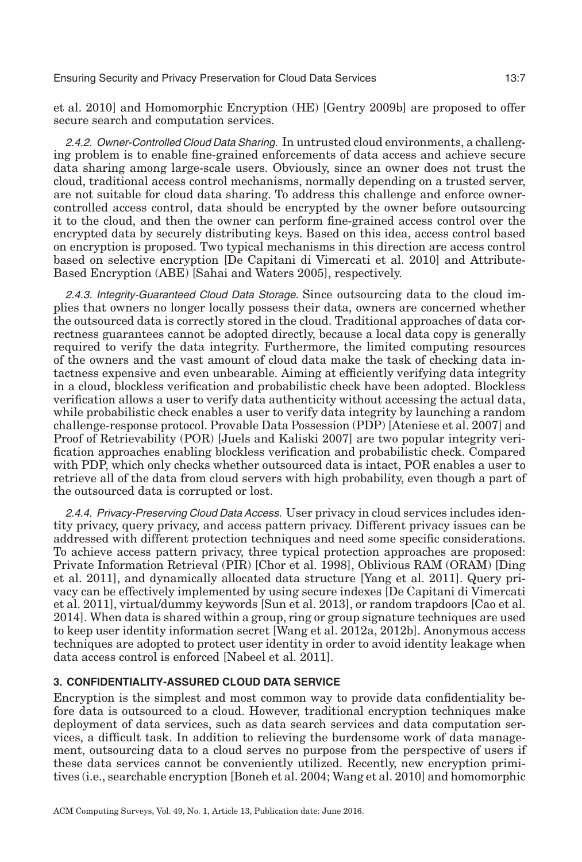et al. [2010\]](#page-37-6) and Homomorphic Encryption (HE) [Gentry [2009b\]](#page-34-0) are proposed to offer secure search and computation services.

2.4.2. Owner-Controlled Cloud Data Sharing. In untrusted cloud environments, a challenging problem is to enable fine-grained enforcements of data access and achieve secure data sharing among large-scale users. Obviously, since an owner does not trust the cloud, traditional access control mechanisms, normally depending on a trusted server, are not suitable for cloud data sharing. To address this challenge and enforce ownercontrolled access control, data should be encrypted by the owner before outsourcing it to the cloud, and then the owner can perform fine-grained access control over the encrypted data by securely distributing keys. Based on this idea, access control based on encryption is proposed. Two typical mechanisms in this direction are access control based on selective encryption [De Capitani di Vimercati et al. [2010\]](#page-34-1) and Attribute-Based Encryption (ABE) [Sahai and Waters [2005\]](#page-36-2), respectively.

2.4.3. Integrity-Guaranteed Cloud Data Storage. Since outsourcing data to the cloud implies that owners no longer locally possess their data, owners are concerned whether the outsourced data is correctly stored in the cloud. Traditional approaches of data correctness guarantees cannot be adopted directly, because a local data copy is generally required to verify the data integrity. Furthermore, the limited computing resources of the owners and the vast amount of cloud data make the task of checking data intactness expensive and even unbearable. Aiming at efficiently verifying data integrity in a cloud, blockless verification and probabilistic check have been adopted. Blockless verification allows a user to verify data authenticity without accessing the actual data, while probabilistic check enables a user to verify data integrity by launching a random challenge-response protocol. Provable Data Possession (PDP) [Ateniese et al. [2007\]](#page-33-3) and Proof of Retrievability (POR) [Juels and Kaliski [2007\]](#page-35-4) are two popular integrity verification approaches enabling blockless verification and probabilistic check. Compared with PDP, which only checks whether outsourced data is intact, POR enables a user to retrieve all of the data from cloud servers with high probability, even though a part of the outsourced data is corrupted or lost.

2.4.4. Privacy-Preserving Cloud Data Access. User privacy in cloud services includes identity privacy, query privacy, and access pattern privacy. Different privacy issues can be addressed with different protection techniques and need some specific considerations. To achieve access pattern privacy, three typical protection approaches are proposed: Private Information Retrieval (PIR) [Chor et al. [1998\]](#page-33-4), Oblivious RAM (ORAM) [Ding et al. [2011\]](#page-34-2), and dynamically allocated data structure [Yang et al. [2011\]](#page-38-5). Query privacy can be effectively implemented by using secure indexes [De Capitani di Vimercati et al. [2011\]](#page-34-3), virtual/dummy keywords [Sun et al. [2013\]](#page-37-4), or random trapdoors [Cao et al. [2014\]](#page-33-5). When data is shared within a group, ring or group signature techniques are used to keep user identity information secret [Wang et al. [2012a,](#page-37-7) [2012b\]](#page-37-8). Anonymous access techniques are adopted to protect user identity in order to avoid identity leakage when data access control is enforced [Nabeel et al. [2011\]](#page-36-3).

## <span id="page-6-0"></span>**3. CONFIDENTIALITY-ASSURED CLOUD DATA SERVICE**

Encryption is the simplest and most common way to provide data confidentiality before data is outsourced to a cloud. However, traditional encryption techniques make deployment of data services, such as data search services and data computation services, a difficult task. In addition to relieving the burdensome work of data management, outsourcing data to a cloud serves no purpose from the perspective of users if these data services cannot be conveniently utilized. Recently, new encryption primitives (i.e., searchable encryption [Boneh et al. [2004;](#page-33-6) Wang et al. [2010\]](#page-37-6) and homomorphic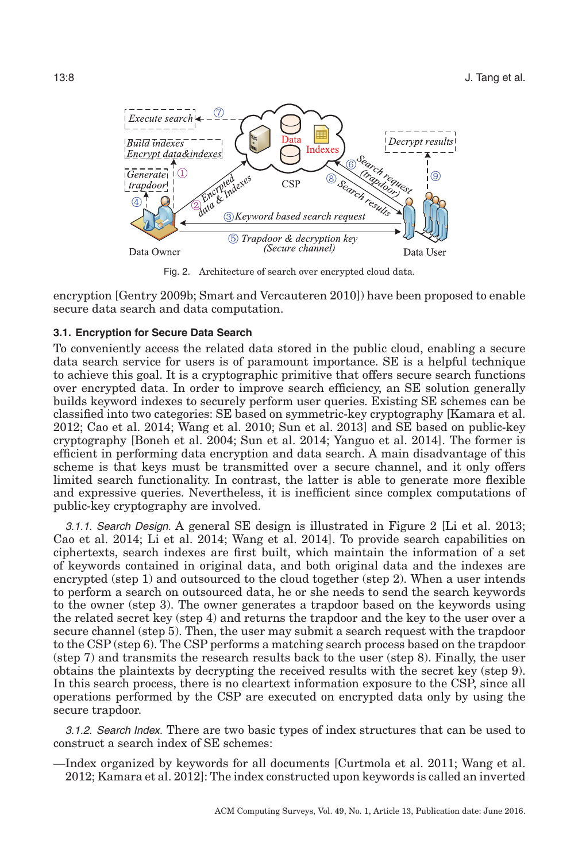<span id="page-7-0"></span>

Fig. 2. Architecture of search over encrypted cloud data.

encryption [Gentry [2009b;](#page-34-0) Smart and Vercauteren [2010\]](#page-37-9)) have been proposed to enable secure data search and data computation.

### **3.1. Encryption for Secure Data Search**

To conveniently access the related data stored in the public cloud, enabling a secure data search service for users is of paramount importance. SE is a helpful technique to achieve this goal. It is a cryptographic primitive that offers secure search functions over encrypted data. In order to improve search efficiency, an SE solution generally builds keyword indexes to securely perform user queries. Existing SE schemes can be classified into two categories: SE based on symmetric-key cryptography [Kamara et al. [2012;](#page-35-5) Cao et al. [2014;](#page-33-5) Wang et al. [2010;](#page-37-6) Sun et al. [2013\]](#page-37-4) and SE based on public-key cryptography [Boneh et al. [2004;](#page-33-6) Sun et al. [2014;](#page-37-10) Yanguo et al. [2014\]](#page-38-6). The former is efficient in performing data encryption and data search. A main disadvantage of this scheme is that keys must be transmitted over a secure channel, and it only offers limited search functionality. In contrast, the latter is able to generate more flexible and expressive queries. Nevertheless, it is inefficient since complex computations of public-key cryptography are involved.

3.1.1. Search Design. A general SE design is illustrated in Figure [2](#page-7-0) [Li et al. [2013;](#page-36-4) Cao et al. [2014;](#page-33-5) Li et al. [2014;](#page-36-1) Wang et al. [2014\]](#page-37-11). To provide search capabilities on ciphertexts, search indexes are first built, which maintain the information of a set of keywords contained in original data, and both original data and the indexes are encrypted (step 1) and outsourced to the cloud together (step 2). When a user intends to perform a search on outsourced data, he or she needs to send the search keywords to the owner (step 3). The owner generates a trapdoor based on the keywords using the related secret key (step 4) and returns the trapdoor and the key to the user over a secure channel (step 5). Then, the user may submit a search request with the trapdoor to the CSP (step 6). The CSP performs a matching search process based on the trapdoor (step 7) and transmits the research results back to the user (step 8). Finally, the user obtains the plaintexts by decrypting the received results with the secret key (step 9). In this search process, there is no cleartext information exposure to the CSP, since all operations performed by the CSP are executed on encrypted data only by using the secure trapdoor.

3.1.2. Search Index. There are two basic types of index structures that can be used to construct a search index of SE schemes:

—Index organized by keywords for all documents [Curtmola et al. [2011;](#page-34-4) Wang et al. [2012;](#page-37-12) Kamara et al. [2012\]](#page-35-5): The index constructed upon keywords is called an inverted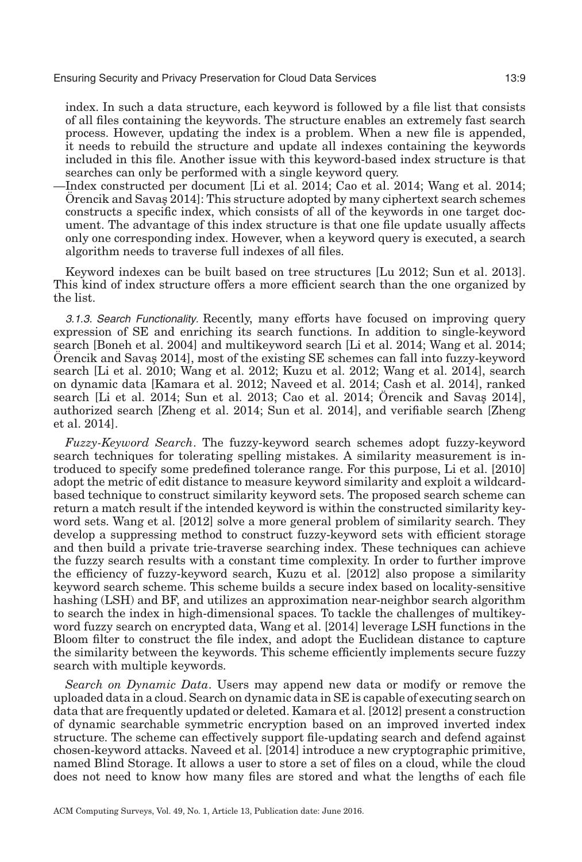index. In such a data structure, each keyword is followed by a file list that consists of all files containing the keywords. The structure enables an extremely fast search process. However, updating the index is a problem. When a new file is appended, it needs to rebuild the structure and update all indexes containing the keywords included in this file. Another issue with this keyword-based index structure is that searches can only be performed with a single keyword query.

—Index constructed per document [Li et al. [2014;](#page-36-1) Cao et al. [2014;](#page-33-5) Wang et al. [2014;](#page-37-11)  $\ddot{\text{O}}$  rencik and Savas [2014\]](#page-36-5): This structure adopted by many ciphertext search schemes constructs a specific index, which consists of all of the keywords in one target document. The advantage of this index structure is that one file update usually affects only one corresponding index. However, when a keyword query is executed, a search algorithm needs to traverse full indexes of all files.

Keyword indexes can be built based on tree structures [Lu [2012;](#page-36-6) Sun et al. [2013\]](#page-37-4). This kind of index structure offers a more efficient search than the one organized by the list.

3.1.3. Search Functionality. Recently, many efforts have focused on improving query expression of SE and enriching its search functions. In addition to single-keyword search [Boneh et al. [2004\]](#page-33-6) and multikeyword search [Li et al. [2014;](#page-36-1) Wang et al. [2014;](#page-37-11)  $\ddot{\text{O}}$  rencik and Savas [2014\]](#page-36-5), most of the existing SE schemes can fall into fuzzy-keyword search [Li et al. [2010;](#page-36-7) Wang et al. [2012;](#page-37-13) Kuzu et al. [2012;](#page-35-6) Wang et al. [2014\]](#page-37-11), search on dynamic data [Kamara et al. [2012;](#page-35-5) Naveed et al. [2014;](#page-36-8) Cash et al. [2014\]](#page-33-7), ranked search [Li et al. [2014;](#page-33-5) Sun et al. [2013;](#page-37-4) Cao et al. 2014; Örencik and Savas  $2014$ ], authorized search [Zheng et al. [2014;](#page-38-7) Sun et al. [2014\]](#page-37-10), and verifiable search [Zheng et al. [2014\]](#page-38-7).

*Fuzzy-Keyword Search*. The fuzzy-keyword search schemes adopt fuzzy-keyword search techniques for tolerating spelling mistakes. A similarity measurement is introduced to specify some predefined tolerance range. For this purpose, Li et al. [\[2010\]](#page-36-7) adopt the metric of edit distance to measure keyword similarity and exploit a wildcardbased technique to construct similarity keyword sets. The proposed search scheme can return a match result if the intended keyword is within the constructed similarity keyword sets. Wang et al. [\[2012\]](#page-37-13) solve a more general problem of similarity search. They develop a suppressing method to construct fuzzy-keyword sets with efficient storage and then build a private trie-traverse searching index. These techniques can achieve the fuzzy search results with a constant time complexity. In order to further improve the efficiency of fuzzy-keyword search, Kuzu et al. [\[2012\]](#page-35-6) also propose a similarity keyword search scheme. This scheme builds a secure index based on locality-sensitive hashing (LSH) and BF, and utilizes an approximation near-neighbor search algorithm to search the index in high-dimensional spaces. To tackle the challenges of multikeyword fuzzy search on encrypted data, Wang et al. [\[2014\]](#page-37-11) leverage LSH functions in the Bloom filter to construct the file index, and adopt the Euclidean distance to capture the similarity between the keywords. This scheme efficiently implements secure fuzzy search with multiple keywords.

*Search on Dynamic Data*. Users may append new data or modify or remove the uploaded data in a cloud. Search on dynamic data in SE is capable of executing search on data that are frequently updated or deleted. Kamara et al. [\[2012\]](#page-35-5) present a construction of dynamic searchable symmetric encryption based on an improved inverted index structure. The scheme can effectively support file-updating search and defend against chosen-keyword attacks. Naveed et al. [\[2014\]](#page-36-8) introduce a new cryptographic primitive, named Blind Storage. It allows a user to store a set of files on a cloud, while the cloud does not need to know how many files are stored and what the lengths of each file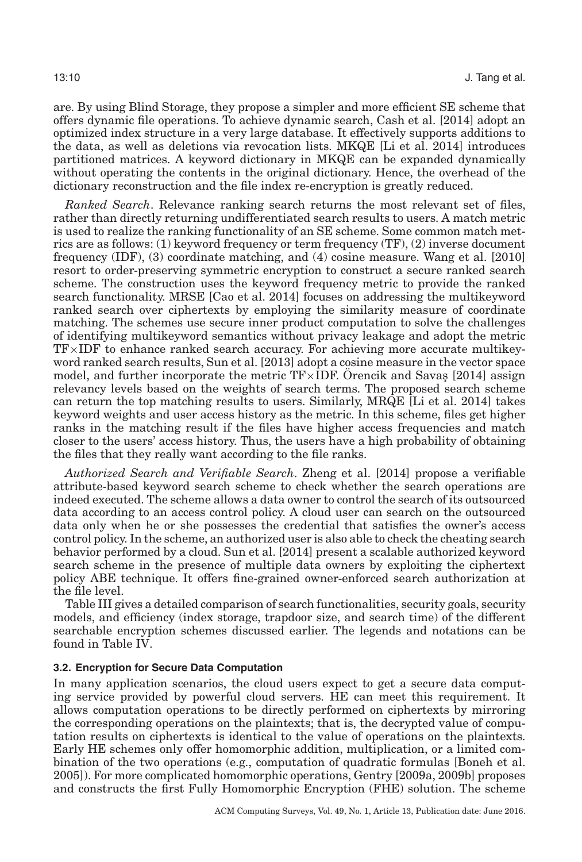are. By using Blind Storage, they propose a simpler and more efficient SE scheme that offers dynamic file operations. To achieve dynamic search, Cash et al. [\[2014\]](#page-33-7) adopt an optimized index structure in a very large database. It effectively supports additions to the data, as well as deletions via revocation lists. MKQE [Li et al. [2014\]](#page-36-1) introduces partitioned matrices. A keyword dictionary in MKQE can be expanded dynamically without operating the contents in the original dictionary. Hence, the overhead of the dictionary reconstruction and the file index re-encryption is greatly reduced.

*Ranked Search*. Relevance ranking search returns the most relevant set of files, rather than directly returning undifferentiated search results to users. A match metric is used to realize the ranking functionality of an SE scheme. Some common match metrics are as follows: (1) keyword frequency or term frequency (TF), (2) inverse document frequency (IDF), (3) coordinate matching, and (4) cosine measure. Wang et al. [\[2010\]](#page-37-6) resort to order-preserving symmetric encryption to construct a secure ranked search scheme. The construction uses the keyword frequency metric to provide the ranked search functionality. MRSE [Cao et al. [2014\]](#page-33-5) focuses on addressing the multikeyword ranked search over ciphertexts by employing the similarity measure of coordinate matching. The schemes use secure inner product computation to solve the challenges of identifying multikeyword semantics without privacy leakage and adopt the metric TF×IDF to enhance ranked search accuracy. For achieving more accurate multikeyword ranked search results, Sun et al. [\[2013\]](#page-37-4) adopt a cosine measure in the vector space model, and further incorporate the metric  $TF \times IDF$ . Orencik and Savas [\[2014\]](#page-36-5) assign relevancy levels based on the weights of search terms. The proposed search scheme can return the top matching results to users. Similarly, MRQE [Li et al. [2014\]](#page-36-1) takes keyword weights and user access history as the metric. In this scheme, files get higher ranks in the matching result if the files have higher access frequencies and match closer to the users' access history. Thus, the users have a high probability of obtaining the files that they really want according to the file ranks.

*Authorized Search and Verifiable Search*. Zheng et al. [\[2014\]](#page-38-7) propose a verifiable attribute-based keyword search scheme to check whether the search operations are indeed executed. The scheme allows a data owner to control the search of its outsourced data according to an access control policy. A cloud user can search on the outsourced data only when he or she possesses the credential that satisfies the owner's access control policy. In the scheme, an authorized user is also able to check the cheating search behavior performed by a cloud. Sun et al. [\[2014\]](#page-37-10) present a scalable authorized keyword search scheme in the presence of multiple data owners by exploiting the ciphertext policy ABE technique. It offers fine-grained owner-enforced search authorization at the file level.

Table [III](#page-10-0) gives a detailed comparison of search functionalities, security goals, security models, and efficiency (index storage, trapdoor size, and search time) of the different searchable encryption schemes discussed earlier. The legends and notations can be found in Table [IV.](#page-11-0)

## **3.2. Encryption for Secure Data Computation**

In many application scenarios, the cloud users expect to get a secure data computing service provided by powerful cloud servers. HE can meet this requirement. It allows computation operations to be directly performed on ciphertexts by mirroring the corresponding operations on the plaintexts; that is, the decrypted value of computation results on ciphertexts is identical to the value of operations on the plaintexts. Early HE schemes only offer homomorphic addition, multiplication, or a limited combination of the two operations (e.g., computation of quadratic formulas [Boneh et al. [2005\]](#page-33-8)). For more complicated homomorphic operations, Gentry [\[2009a,](#page-34-5) [2009b\]](#page-34-0) proposes and constructs the first Fully Homomorphic Encryption (FHE) solution. The scheme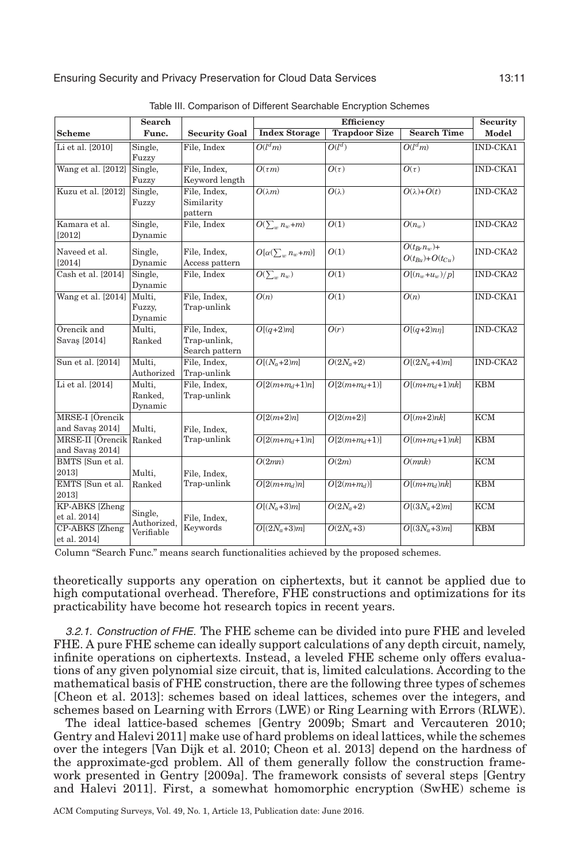<span id="page-10-0"></span>

|                           | <b>Search</b> |                      | <b>Efficiency</b>             |                      |                       | <b>Security</b>         |
|---------------------------|---------------|----------------------|-------------------------------|----------------------|-----------------------|-------------------------|
| <b>Scheme</b>             | Func.         | <b>Security Goal</b> | <b>Index Storage</b>          | <b>Trapdoor Size</b> | <b>Search Time</b>    | Model                   |
| Li et al. [2010]          | Single,       | File, Index          | O(l <sup>d</sup> m)           | $O(l^d)$             | O(l <sup>d</sup> m)   | <b>IND-CKA1</b>         |
|                           | Fuzzy         |                      |                               |                      |                       |                         |
| Wang et al. [2012]        | Single,       | File, Index,         | $O(\tau m)$                   | $O(\tau)$            | $O(\tau)$             | IND-CKA1                |
|                           | Fuzzy         | Keyword length       |                               |                      |                       |                         |
| Kuzu et al. [2012]        | Single,       | File, Index,         | $O(\lambda m)$                | $O(\lambda)$         | $O(\lambda)+O(t)$     | $IND-CKA2$              |
|                           | Fuzzy         | Similarity           |                               |                      |                       |                         |
|                           |               | pattern              |                               |                      |                       |                         |
| Kamara et al.             | Single,       | File, Index          | $O(\sum_{w} n_w + m)$         | O(1)                 | $O(n_w)$              | IND-CKA2                |
| [2012]                    | Dynamic       |                      |                               |                      |                       |                         |
| Naveed et al.             | Single,       | File, Index,         | $O[\alpha(\sum_{w} n_w + m)]$ | O(1)                 | $O(t_{Br}n_w)+$       | IND-CKA2                |
| [2014]                    | Dynamic       | Access pattern       |                               |                      | $O(t_{Bu})+O(t_{Cu})$ |                         |
| Cash et al. [2014]        | Single,       | File, Index          | $O(\sum_{w} n_w)$             | O(1)                 | $O[(n_w+u_w)/p]$      | IND-CKA2                |
|                           | Dynamic       |                      |                               |                      |                       |                         |
| Wang et al. [2014]        | Multi,        | File, Index,         | $\overline{O(n)}$             | $\overline{O(1)}$    | O(n)                  | <b>IND-CKA1</b>         |
|                           | Fuzzy,        | Trap-unlink          |                               |                      |                       |                         |
|                           | Dynamic       |                      |                               |                      |                       |                         |
| Örencik and               | Multi,        | File, Index,         | $\overline{O[(q+2)m]}$        | O(r)                 | $O[(q+2)nn]$          | <b>IND-CKA2</b>         |
| Savaş [2014]              | Ranked        | Trap-unlink,         |                               |                      |                       |                         |
|                           |               | Search pattern       |                               |                      |                       |                         |
| Sun et al. [2014]         | Multi.        | File, Index,         | $O[(N_a+2)m]$                 | $O(2N_a+2)$          | $O[(2N_a+4)m]$        | IND-CKA2                |
|                           | Authorized    | Trap-unlink          |                               |                      |                       |                         |
| Li et al. [2014]          | Multi,        | File, Index,         | $O[2(m+m_d+1)n]$              | $O[2(m+m_d+1)]$      | $O[(m+m_d+1)nk]$      | <b>KBM</b>              |
|                           | Ranked,       | Trap-unlink          |                               |                      |                       |                         |
|                           | Dynamic       |                      |                               |                      |                       |                         |
| MRSE-I JÖrencik           |               |                      | $O[2(m+2)n]$                  | $O[2(m+2)]$          | $O[(m+2)nk]$          | <b>KCM</b>              |
| and Savas 2014]           | Multi,        | File, Index,         |                               |                      |                       |                         |
| MRSE-II [Örencik   Ranked |               | Trap-unlink          | $O[2(m+m_d+1)n]$              | $O[2(m+m_d+1)]$      | $O[(m+m_d+1)nk]$      | <b>KBM</b>              |
| and Savaş 2014]           |               |                      |                               |                      |                       |                         |
| BMTS [Sun et al.          |               |                      | O(2mn)                        | O(2m)                | O(mnk)                | $\overline{\text{KCM}}$ |
| 2013]                     | Multi,        | File, Index,         |                               |                      |                       |                         |
| EMTS [Sun et al.          | Ranked        | Trap-unlink          | $O[2(m+m_d)n]$                | $O[2(m+m_d)]$        | $O[(m+m_d)nk]$        | <b>KBM</b>              |
| 2013]                     |               |                      |                               |                      |                       |                         |
| KP-ABKS [Zheng            | Single,       |                      | $O[(N_a+3)m]$                 | $O(2N_a+2)$          | $O[(3N_a+2)m]$        | $\overline{\text{KCM}}$ |
| et al. 2014]              | Authorized.   | File, Index,         |                               |                      |                       |                         |
| CP-ABKS [Zheng            | Verifiable    | Keywords             | $O[(2N_a+3)m]$                | $O(2N_a+3)$          | $O[(3N_a+3)m]$        | <b>KBM</b>              |
| et al. 2014]              |               |                      |                               |                      |                       |                         |

Table III. Comparison of Different Searchable Encryption Schemes

Column "Search Func." means search functionalities achieved by the proposed schemes.

theoretically supports any operation on ciphertexts, but it cannot be applied due to high computational overhead. Therefore, FHE constructions and optimizations for its practicability have become hot research topics in recent years.

3.2.1. Construction of FHE. The FHE scheme can be divided into pure FHE and leveled FHE. A pure FHE scheme can ideally support calculations of any depth circuit, namely, infinite operations on ciphertexts. Instead, a leveled FHE scheme only offers evaluations of any given polynomial size circuit, that is, limited calculations. According to the mathematical basis of FHE construction, there are the following three types of schemes [Cheon et al. [2013\]](#page-33-9): schemes based on ideal lattices, schemes over the integers, and schemes based on Learning with Errors (LWE) or Ring Learning with Errors (RLWE).

The ideal lattice-based schemes [Gentry [2009b;](#page-34-0) Smart and Vercauteren [2010;](#page-37-9) Gentry and Halevi [2011\]](#page-34-6) make use of hard problems on ideal lattices, while the schemes over the integers [Van Dijk et al. [2010;](#page-37-14) Cheon et al. [2013\]](#page-33-9) depend on the hardness of the approximate-gcd problem. All of them generally follow the construction framework presented in Gentry [\[2009a\]](#page-34-5). The framework consists of several steps [Gentry and Halevi [2011\]](#page-34-6). First, a somewhat homomorphic encryption (SwHE) scheme is

ACM Computing Surveys, Vol. 49, No. 1, Article 13, Publication date: June 2016.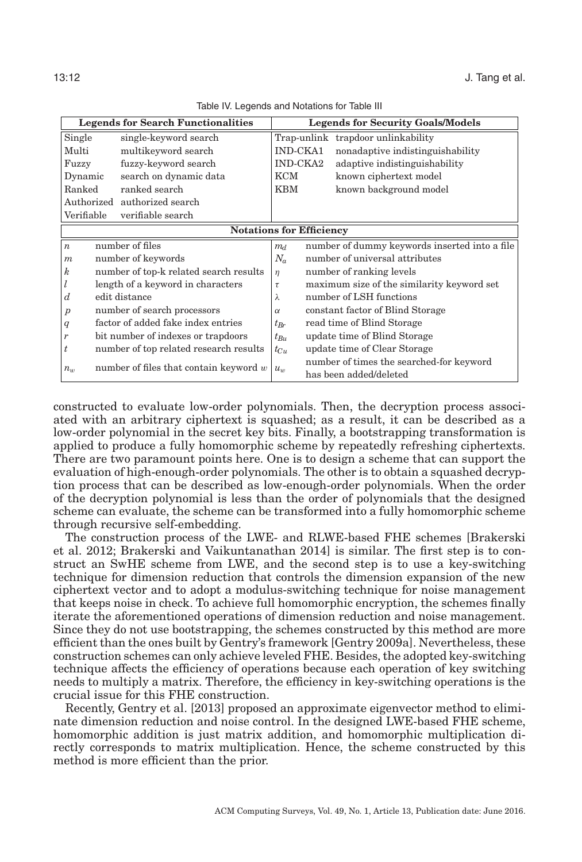<span id="page-11-0"></span>

|                                                        | <b>Legends for Search Functionalities</b> |                 | <b>Legends for Security Goals/Models</b>      |
|--------------------------------------------------------|-------------------------------------------|-----------------|-----------------------------------------------|
| Single                                                 | single-keyword search                     |                 | Trap-unlink trapdoor unlinkability            |
| Multi                                                  | multikeyword search                       | <b>IND-CKA1</b> | nonadaptive indistinguishability              |
| Fuzzy                                                  | fuzzy-keyword search                      | <b>IND-CKA2</b> | adaptive indistinguishability                 |
| Dynamic                                                | search on dynamic data                    | KCM             | known ciphertext model                        |
| Ranked                                                 | ranked search                             | <b>KBM</b>      | known background model                        |
|                                                        | Authorized authorized search              |                 |                                               |
| Verifiable                                             | verifiable search                         |                 |                                               |
|                                                        | <b>Notations for Efficiency</b>           |                 |                                               |
| $\boldsymbol{n}$                                       | number of files                           | m <sub>d</sub>  | number of dummy keywords inserted into a file |
| number of keywords<br>$\boldsymbol{m}$                 |                                           | $N_a$           | number of universal attributes                |
| number of top-k related search results<br>k            |                                           | $\eta$          | number of ranking levels                      |
| length of a keyword in characters                      |                                           | $\tau$          | maximum size of the similarity keyword set    |
| edit distance<br>d                                     |                                           | λ               | number of LSH functions                       |
| number of search processors<br>$\boldsymbol{p}$        |                                           | $\alpha$        | constant factor of Blind Storage              |
| factor of added fake index entries<br>$\boldsymbol{q}$ |                                           | $t_{Br}$        | read time of Blind Storage                    |
| r                                                      | bit number of indexes or trapdoors        |                 | update time of Blind Storage                  |
| t                                                      | number of top related research results    | $t_{Cu}$        | update time of Clear Storage                  |
| number of files that contain keyword $w$<br>$n_w$      |                                           |                 | number of times the searched-for keyword      |
|                                                        |                                           | $u_w$           | has been added/deleted                        |

Table IV. Legends and Notations for Table [III](#page-10-0)

constructed to evaluate low-order polynomials. Then, the decryption process associated with an arbitrary ciphertext is squashed; as a result, it can be described as a low-order polynomial in the secret key bits. Finally, a bootstrapping transformation is applied to produce a fully homomorphic scheme by repeatedly refreshing ciphertexts. There are two paramount points here. One is to design a scheme that can support the evaluation of high-enough-order polynomials. The other is to obtain a squashed decryption process that can be described as low-enough-order polynomials. When the order of the decryption polynomial is less than the order of polynomials that the designed scheme can evaluate, the scheme can be transformed into a fully homomorphic scheme through recursive self-embedding.

The construction process of the LWE- and RLWE-based FHE schemes [Brakerski et al. [2012;](#page-33-10) Brakerski and Vaikuntanathan [2014\]](#page-33-11) is similar. The first step is to construct an SwHE scheme from LWE, and the second step is to use a key-switching technique for dimension reduction that controls the dimension expansion of the new ciphertext vector and to adopt a modulus-switching technique for noise management that keeps noise in check. To achieve full homomorphic encryption, the schemes finally iterate the aforementioned operations of dimension reduction and noise management. Since they do not use bootstrapping, the schemes constructed by this method are more efficient than the ones built by Gentry's framework [Gentry [2009a\]](#page-34-5). Nevertheless, these construction schemes can only achieve leveled FHE. Besides, the adopted key-switching technique affects the efficiency of operations because each operation of key switching needs to multiply a matrix. Therefore, the efficiency in key-switching operations is the crucial issue for this FHE construction.

Recently, Gentry et al. [\[2013\]](#page-35-7) proposed an approximate eigenvector method to eliminate dimension reduction and noise control. In the designed LWE-based FHE scheme, homomorphic addition is just matrix addition, and homomorphic multiplication directly corresponds to matrix multiplication. Hence, the scheme constructed by this method is more efficient than the prior.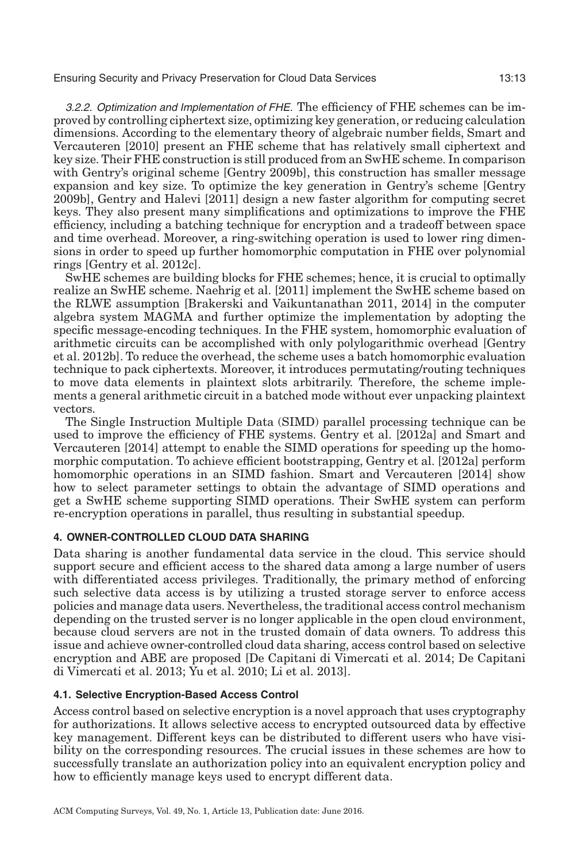3.2.2. Optimization and Implementation of FHE. The efficiency of FHE schemes can be improved by controlling ciphertext size, optimizing key generation, or reducing calculation dimensions. According to the elementary theory of algebraic number fields, Smart and Vercauteren [\[2010\]](#page-37-9) present an FHE scheme that has relatively small ciphertext and key size. Their FHE construction is still produced from an SwHE scheme. In comparison with Gentry's original scheme [Gentry [2009b\]](#page-34-0), this construction has smaller message expansion and key size. To optimize the key generation in Gentry's scheme [Gentry [2009b\]](#page-34-0), Gentry and Halevi [\[2011\]](#page-34-6) design a new faster algorithm for computing secret keys. They also present many simplifications and optimizations to improve the FHE efficiency, including a batching technique for encryption and a tradeoff between space and time overhead. Moreover, a ring-switching operation is used to lower ring dimensions in order to speed up further homomorphic computation in FHE over polynomial rings [Gentry et al. [2012c\]](#page-34-7).

SwHE schemes are building blocks for FHE schemes; hence, it is crucial to optimally realize an SwHE scheme. Naehrig et al. [\[2011\]](#page-36-9) implement the SwHE scheme based on the RLWE assumption [Brakerski and Vaikuntanathan [2011,](#page-33-12) [2014\]](#page-33-11) in the computer algebra system MAGMA and further optimize the implementation by adopting the specific message-encoding techniques. In the FHE system, homomorphic evaluation of arithmetic circuits can be accomplished with only polylogarithmic overhead [Gentry et al. [2012b\]](#page-35-8). To reduce the overhead, the scheme uses a batch homomorphic evaluation technique to pack ciphertexts. Moreover, it introduces permutating/routing techniques to move data elements in plaintext slots arbitrarily. Therefore, the scheme implements a general arithmetic circuit in a batched mode without ever unpacking plaintext vectors.

The Single Instruction Multiple Data (SIMD) parallel processing technique can be used to improve the efficiency of FHE systems. Gentry et al. [\[2012a\]](#page-35-9) and Smart and Vercauteren [\[2014\]](#page-37-15) attempt to enable the SIMD operations for speeding up the homomorphic computation. To achieve efficient bootstrapping, Gentry et al. [\[2012a\]](#page-35-9) perform homomorphic operations in an SIMD fashion. Smart and Vercauteren [\[2014\]](#page-37-15) show how to select parameter settings to obtain the advantage of SIMD operations and get a SwHE scheme supporting SIMD operations. Their SwHE system can perform re-encryption operations in parallel, thus resulting in substantial speedup.

## **4. OWNER-CONTROLLED CLOUD DATA SHARING**

Data sharing is another fundamental data service in the cloud. This service should support secure and efficient access to the shared data among a large number of users with differentiated access privileges. Traditionally, the primary method of enforcing such selective data access is by utilizing a trusted storage server to enforce access policies and manage data users. Nevertheless, the traditional access control mechanism depending on the trusted server is no longer applicable in the open cloud environment, because cloud servers are not in the trusted domain of data owners. To address this issue and achieve owner-controlled cloud data sharing, access control based on selective encryption and ABE are proposed [De Capitani di Vimercati et al. [2014;](#page-34-8) De Capitani di Vimercati et al. [2013;](#page-34-9) Yu et al. [2010;](#page-38-8) Li et al. [2013\]](#page-35-10).

## **4.1. Selective Encryption-Based Access Control**

Access control based on selective encryption is a novel approach that uses cryptography for authorizations. It allows selective access to encrypted outsourced data by effective key management. Different keys can be distributed to different users who have visibility on the corresponding resources. The crucial issues in these schemes are how to successfully translate an authorization policy into an equivalent encryption policy and how to efficiently manage keys used to encrypt different data.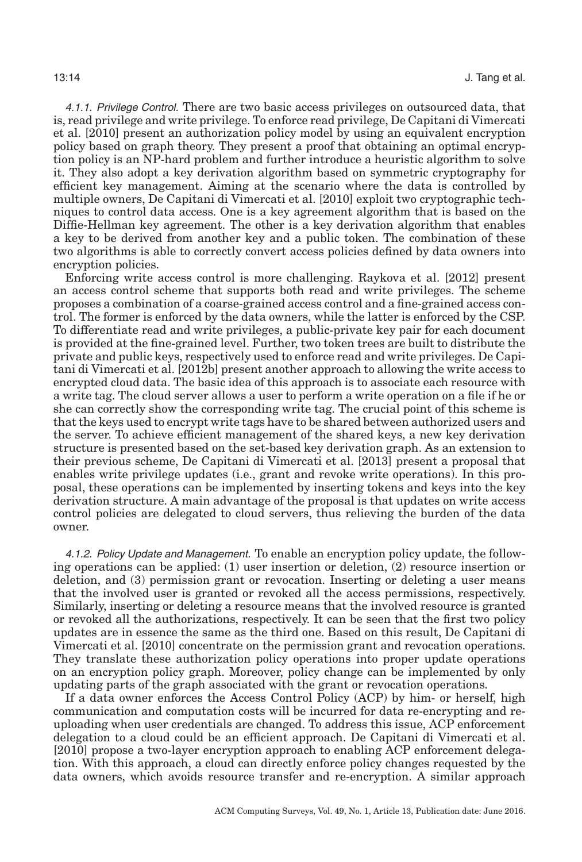4.1.1. Privilege Control. There are two basic access privileges on outsourced data, that is, read privilege and write privilege. To enforce read privilege, De Capitani di Vimercati et al. [\[2010\]](#page-34-1) present an authorization policy model by using an equivalent encryption policy based on graph theory. They present a proof that obtaining an optimal encryption policy is an NP-hard problem and further introduce a heuristic algorithm to solve it. They also adopt a key derivation algorithm based on symmetric cryptography for efficient key management. Aiming at the scenario where the data is controlled by multiple owners, De Capitani di Vimercati et al. [\[2010\]](#page-34-10) exploit two cryptographic techniques to control data access. One is a key agreement algorithm that is based on the Diffie-Hellman key agreement. The other is a key derivation algorithm that enables a key to be derived from another key and a public token. The combination of these two algorithms is able to correctly convert access policies defined by data owners into encryption policies.

Enforcing write access control is more challenging. Raykova et al. [\[2012\]](#page-36-10) present an access control scheme that supports both read and write privileges. The scheme proposes a combination of a coarse-grained access control and a fine-grained access control. The former is enforced by the data owners, while the latter is enforced by the CSP. To differentiate read and write privileges, a public-private key pair for each document is provided at the fine-grained level. Further, two token trees are built to distribute the private and public keys, respectively used to enforce read and write privileges. De Capitani di Vimercati et al. [\[2012b\]](#page-34-11) present another approach to allowing the write access to encrypted cloud data. The basic idea of this approach is to associate each resource with a write tag. The cloud server allows a user to perform a write operation on a file if he or she can correctly show the corresponding write tag. The crucial point of this scheme is that the keys used to encrypt write tags have to be shared between authorized users and the server. To achieve efficient management of the shared keys, a new key derivation structure is presented based on the set-based key derivation graph. As an extension to their previous scheme, De Capitani di Vimercati et al. [\[2013\]](#page-34-9) present a proposal that enables write privilege updates (i.e., grant and revoke write operations). In this proposal, these operations can be implemented by inserting tokens and keys into the key derivation structure. A main advantage of the proposal is that updates on write access control policies are delegated to cloud servers, thus relieving the burden of the data owner.

4.1.2. Policy Update and Management. To enable an encryption policy update, the following operations can be applied: (1) user insertion or deletion, (2) resource insertion or deletion, and (3) permission grant or revocation. Inserting or deleting a user means that the involved user is granted or revoked all the access permissions, respectively. Similarly, inserting or deleting a resource means that the involved resource is granted or revoked all the authorizations, respectively. It can be seen that the first two policy updates are in essence the same as the third one. Based on this result, De Capitani di Vimercati et al. [\[2010\]](#page-34-1) concentrate on the permission grant and revocation operations. They translate these authorization policy operations into proper update operations on an encryption policy graph. Moreover, policy change can be implemented by only updating parts of the graph associated with the grant or revocation operations.

If a data owner enforces the Access Control Policy (ACP) by him- or herself, high communication and computation costs will be incurred for data re-encrypting and reuploading when user credentials are changed. To address this issue, ACP enforcement delegation to a cloud could be an efficient approach. De Capitani di Vimercati et al. [\[2010\]](#page-34-1) propose a two-layer encryption approach to enabling ACP enforcement delegation. With this approach, a cloud can directly enforce policy changes requested by the data owners, which avoids resource transfer and re-encryption. A similar approach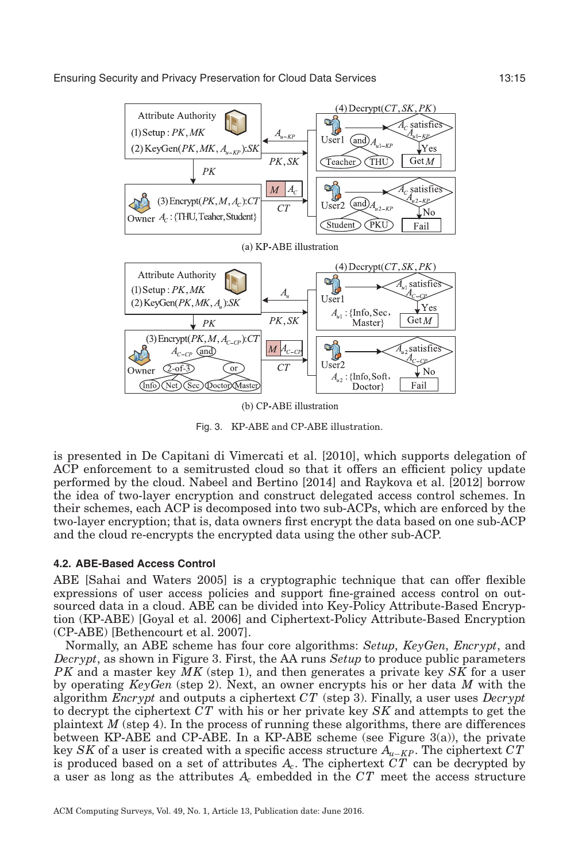<span id="page-14-0"></span>

(b) CP-ABE illustration

Fig. 3. KP-ABE and CP-ABE illustration.

is presented in De Capitani di Vimercati et al. [\[2010\]](#page-34-10), which supports delegation of ACP enforcement to a semitrusted cloud so that it offers an efficient policy update performed by the cloud. Nabeel and Bertino [\[2014\]](#page-36-11) and Raykova et al. [\[2012\]](#page-36-10) borrow the idea of two-layer encryption and construct delegated access control schemes. In their schemes, each ACP is decomposed into two sub-ACPs, which are enforced by the two-layer encryption; that is, data owners first encrypt the data based on one sub-ACP and the cloud re-encrypts the encrypted data using the other sub-ACP.

## **4.2. ABE-Based Access Control**

ABE [Sahai and Waters [2005\]](#page-36-2) is a cryptographic technique that can offer flexible expressions of user access policies and support fine-grained access control on outsourced data in a cloud. ABE can be divided into Key-Policy Attribute-Based Encryption (KP-ABE) [Goyal et al. [2006\]](#page-35-11) and Ciphertext-Policy Attribute-Based Encryption (CP-ABE) [Bethencourt et al. [2007\]](#page-33-13).

Normally, an ABE scheme has four core algorithms: *Setup*, *KeyGen*, *Encrypt*, and *Decrypt*, as shown in Figure [3.](#page-14-0) First, the AA runs *Setup* to produce public parameters *P K* and a master key *MK* (step 1), and then generates a private key *SK* for a user by operating *KeyGen* (step 2). Next, an owner encrypts his or her data *M* with the algorithm *Encrypt* and outputs a ciphertext *CT* (step 3). Finally, a user uses *Decrypt* to decrypt the ciphertext *CT* with his or her private key *SK* and attempts to get the plaintext *M* (step 4). In the process of running these algorithms, there are differences between KP-ABE and CP-ABE. In a KP-ABE scheme (see Figure [3\(](#page-14-0)a)), the private key *SK* of a user is created with a specific access structure *Au*−*KP*. The ciphertext *CT* is produced based on a set of attributes  $A_c$ . The ciphertext  $CT$  can be decrypted by a user as long as the attributes *Ac* embedded in the *CT* meet the access structure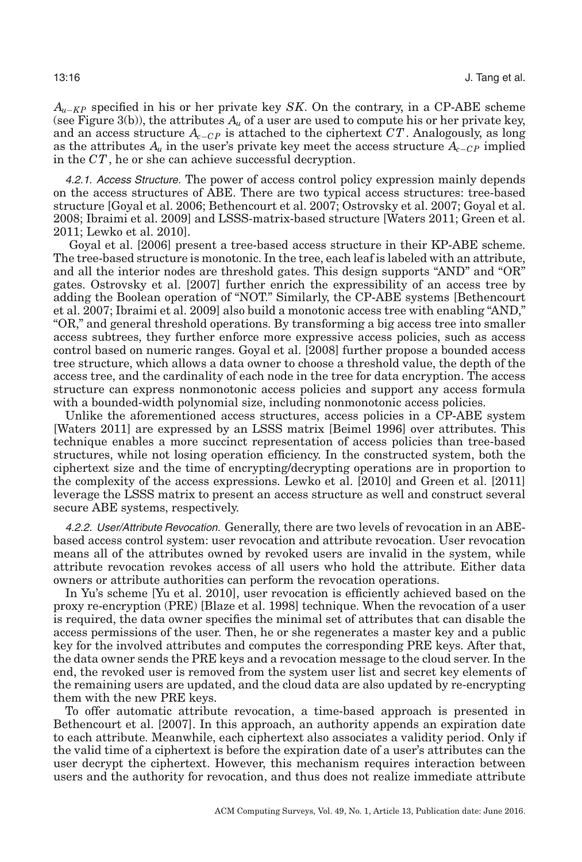*Au*−*KP* specified in his or her private key *SK*. On the contrary, in a CP-ABE scheme (see Figure [3\(](#page-14-0)b)), the attributes  $A_{\mu}$  of a user are used to compute his or her private key, and an access structure *Ac*−*C P* is attached to the ciphertext *CT*. Analogously, as long as the attributes  $A_u$  in the user's private key meet the access structure  $A_{c-C}$  implied in the *CT*, he or she can achieve successful decryption.

4.2.1. Access Structure. The power of access control policy expression mainly depends on the access structures of ABE. There are two typical access structures: tree-based structure [Goyal et al. [2006;](#page-35-11) Bethencourt et al. [2007;](#page-33-13) Ostrovsky et al. [2007;](#page-36-12) Goyal et al. [2008;](#page-35-12) Ibraimi et al. [2009\]](#page-35-13) and LSSS-matrix-based structure [Waters [2011;](#page-38-9) Green et al. [2011;](#page-35-14) Lewko et al. [2010\]](#page-35-15).

Goyal et al. [\[2006\]](#page-35-11) present a tree-based access structure in their KP-ABE scheme. The tree-based structure is monotonic. In the tree, each leaf is labeled with an attribute, and all the interior nodes are threshold gates. This design supports "AND" and "OR" gates. Ostrovsky et al. [\[2007\]](#page-36-12) further enrich the expressibility of an access tree by adding the Boolean operation of "NOT." Similarly, the CP-ABE systems [Bethencourt et al. [2007;](#page-33-13) Ibraimi et al. [2009\]](#page-35-13) also build a monotonic access tree with enabling "AND," "OR," and general threshold operations. By transforming a big access tree into smaller access subtrees, they further enforce more expressive access policies, such as access control based on numeric ranges. Goyal et al. [\[2008\]](#page-35-12) further propose a bounded access tree structure, which allows a data owner to choose a threshold value, the depth of the access tree, and the cardinality of each node in the tree for data encryption. The access structure can express nonmonotonic access policies and support any access formula with a bounded-width polynomial size, including nonmonotonic access policies.

Unlike the aforementioned access structures, access policies in a CP-ABE system [Waters [2011\]](#page-38-9) are expressed by an LSSS matrix [Beimel [1996\]](#page-33-14) over attributes. This technique enables a more succinct representation of access policies than tree-based structures, while not losing operation efficiency. In the constructed system, both the ciphertext size and the time of encrypting/decrypting operations are in proportion to the complexity of the access expressions. Lewko et al. [\[2010\]](#page-35-15) and Green et al. [\[2011\]](#page-35-14) leverage the LSSS matrix to present an access structure as well and construct several secure ABE systems, respectively.

4.2.2. User/Attribute Revocation. Generally, there are two levels of revocation in an ABEbased access control system: user revocation and attribute revocation. User revocation means all of the attributes owned by revoked users are invalid in the system, while attribute revocation revokes access of all users who hold the attribute. Either data owners or attribute authorities can perform the revocation operations.

In Yu's scheme [Yu et al. [2010\]](#page-38-8), user revocation is efficiently achieved based on the proxy re-encryption (PRE) [Blaze et al. [1998\]](#page-33-15) technique. When the revocation of a user is required, the data owner specifies the minimal set of attributes that can disable the access permissions of the user. Then, he or she regenerates a master key and a public key for the involved attributes and computes the corresponding PRE keys. After that, the data owner sends the PRE keys and a revocation message to the cloud server. In the end, the revoked user is removed from the system user list and secret key elements of the remaining users are updated, and the cloud data are also updated by re-encrypting them with the new PRE keys.

To offer automatic attribute revocation, a time-based approach is presented in Bethencourt et al. [\[2007\]](#page-33-13). In this approach, an authority appends an expiration date to each attribute. Meanwhile, each ciphertext also associates a validity period. Only if the valid time of a ciphertext is before the expiration date of a user's attributes can the user decrypt the ciphertext. However, this mechanism requires interaction between users and the authority for revocation, and thus does not realize immediate attribute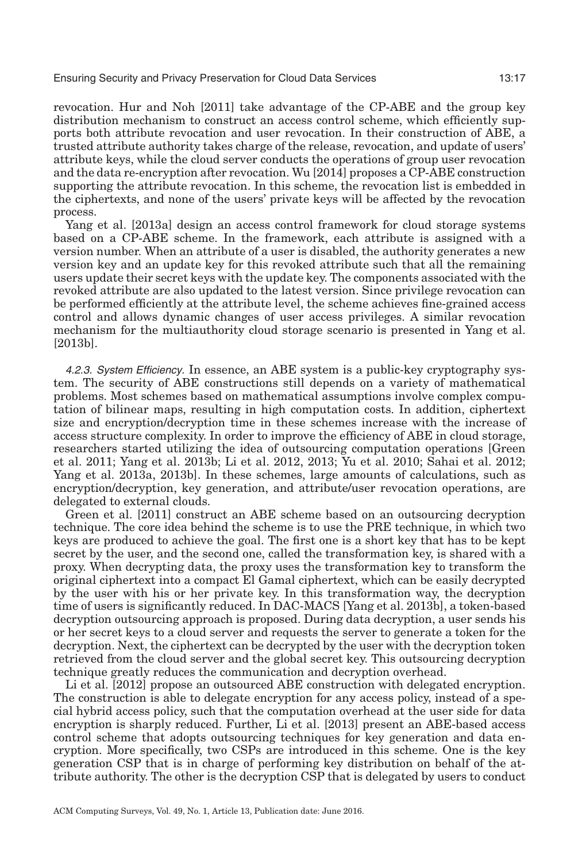revocation. Hur and Noh [\[2011\]](#page-35-3) take advantage of the CP-ABE and the group key distribution mechanism to construct an access control scheme, which efficiently supports both attribute revocation and user revocation. In their construction of ABE, a trusted attribute authority takes charge of the release, revocation, and update of users' attribute keys, while the cloud server conducts the operations of group user revocation and the data re-encryption after revocation. Wu [\[2014\]](#page-38-10) proposes a CP-ABE construction supporting the attribute revocation. In this scheme, the revocation list is embedded in the ciphertexts, and none of the users' private keys will be affected by the revocation process.

Yang et al. [\[2013a\]](#page-38-1) design an access control framework for cloud storage systems based on a CP-ABE scheme. In the framework, each attribute is assigned with a version number. When an attribute of a user is disabled, the authority generates a new version key and an update key for this revoked attribute such that all the remaining users update their secret keys with the update key. The components associated with the revoked attribute are also updated to the latest version. Since privilege revocation can be performed efficiently at the attribute level, the scheme achieves fine-grained access control and allows dynamic changes of user access privileges. A similar revocation mechanism for the multiauthority cloud storage scenario is presented in Yang et al. [\[2013b\]](#page-38-11).

4.2.3. System Efficiency. In essence, an ABE system is a public-key cryptography system. The security of ABE constructions still depends on a variety of mathematical problems. Most schemes based on mathematical assumptions involve complex computation of bilinear maps, resulting in high computation costs. In addition, ciphertext size and encryption/decryption time in these schemes increase with the increase of access structure complexity. In order to improve the efficiency of ABE in cloud storage, researchers started utilizing the idea of outsourcing computation operations [Green et al. [2011;](#page-35-14) Yang et al. [2013b;](#page-38-11) Li et al. [2012,](#page-35-2) [2013;](#page-35-10) Yu et al. [2010;](#page-38-8) Sahai et al. [2012;](#page-36-13) Yang et al. [2013a,](#page-38-1) [2013b\]](#page-38-11). In these schemes, large amounts of calculations, such as encryption/decryption, key generation, and attribute/user revocation operations, are delegated to external clouds.

Green et al. [\[2011\]](#page-35-14) construct an ABE scheme based on an outsourcing decryption technique. The core idea behind the scheme is to use the PRE technique, in which two keys are produced to achieve the goal. The first one is a short key that has to be kept secret by the user, and the second one, called the transformation key, is shared with a proxy. When decrypting data, the proxy uses the transformation key to transform the original ciphertext into a compact El Gamal ciphertext, which can be easily decrypted by the user with his or her private key. In this transformation way, the decryption time of users is significantly reduced. In DAC-MACS [Yang et al. [2013b\]](#page-38-11), a token-based decryption outsourcing approach is proposed. During data decryption, a user sends his or her secret keys to a cloud server and requests the server to generate a token for the decryption. Next, the ciphertext can be decrypted by the user with the decryption token retrieved from the cloud server and the global secret key. This outsourcing decryption technique greatly reduces the communication and decryption overhead.

Li et al. [\[2012\]](#page-35-2) propose an outsourced ABE construction with delegated encryption. The construction is able to delegate encryption for any access policy, instead of a special hybrid access policy, such that the computation overhead at the user side for data encryption is sharply reduced. Further, Li et al. [\[2013\]](#page-35-10) present an ABE-based access control scheme that adopts outsourcing techniques for key generation and data encryption. More specifically, two CSPs are introduced in this scheme. One is the key generation CSP that is in charge of performing key distribution on behalf of the attribute authority. The other is the decryption CSP that is delegated by users to conduct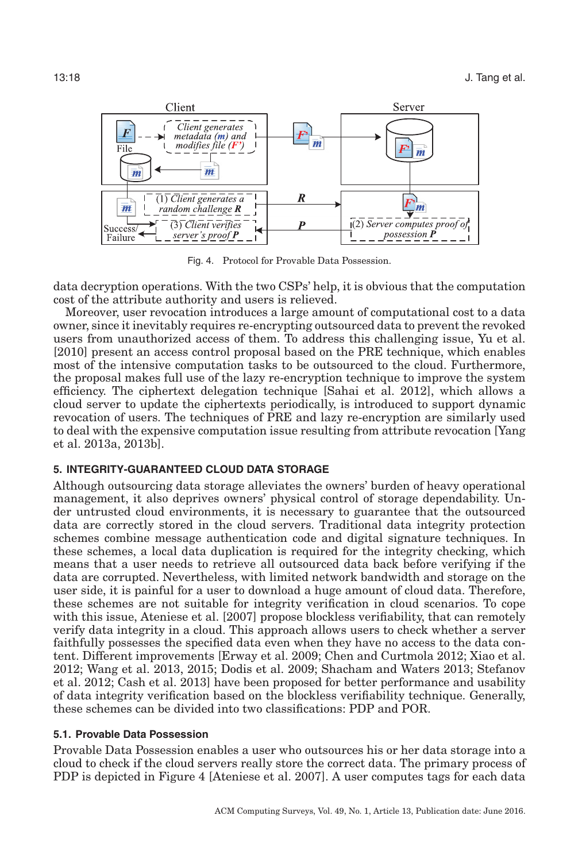<span id="page-17-0"></span>

Fig. 4. Protocol for Provable Data Possession.

data decryption operations. With the two CSPs' help, it is obvious that the computation cost of the attribute authority and users is relieved.

Moreover, user revocation introduces a large amount of computational cost to a data owner, since it inevitably requires re-encrypting outsourced data to prevent the revoked users from unauthorized access of them. To address this challenging issue, Yu et al. [\[2010\]](#page-38-8) present an access control proposal based on the PRE technique, which enables most of the intensive computation tasks to be outsourced to the cloud. Furthermore, the proposal makes full use of the lazy re-encryption technique to improve the system efficiency. The ciphertext delegation technique [Sahai et al. [2012\]](#page-36-13), which allows a cloud server to update the ciphertexts periodically, is introduced to support dynamic revocation of users. The techniques of PRE and lazy re-encryption are similarly used to deal with the expensive computation issue resulting from attribute revocation [Yang et al. [2013a,](#page-38-1) [2013b\]](#page-38-11).

## **5. INTEGRITY-GUARANTEED CLOUD DATA STORAGE**

Although outsourcing data storage alleviates the owners' burden of heavy operational management, it also deprives owners' physical control of storage dependability. Under untrusted cloud environments, it is necessary to guarantee that the outsourced data are correctly stored in the cloud servers. Traditional data integrity protection schemes combine message authentication code and digital signature techniques. In these schemes, a local data duplication is required for the integrity checking, which means that a user needs to retrieve all outsourced data back before verifying if the data are corrupted. Nevertheless, with limited network bandwidth and storage on the user side, it is painful for a user to download a huge amount of cloud data. Therefore, these schemes are not suitable for integrity verification in cloud scenarios. To cope with this issue, Ateniese et al. [\[2007\]](#page-33-3) propose blockless verifiability, that can remotely verify data integrity in a cloud. This approach allows users to check whether a server faithfully possesses the specified data even when they have no access to the data content. Different improvements [Erway et al. [2009;](#page-34-12) Chen and Curtmola [2012;](#page-33-16) Xiao et al. [2012;](#page-38-12) Wang et al. [2013,](#page-37-2) [2015;](#page-37-3) Dodis et al. [2009;](#page-34-13) Shacham and Waters [2013;](#page-36-14) Stefanov et al. [2012;](#page-37-16) Cash et al. [2013\]](#page-33-17) have been proposed for better performance and usability of data integrity verification based on the blockless verifiability technique. Generally, these schemes can be divided into two classifications: PDP and POR.

## **5.1. Provable Data Possession**

Provable Data Possession enables a user who outsources his or her data storage into a cloud to check if the cloud servers really store the correct data. The primary process of PDP is depicted in Figure [4](#page-17-0) [Ateniese et al. [2007\]](#page-33-3). A user computes tags for each data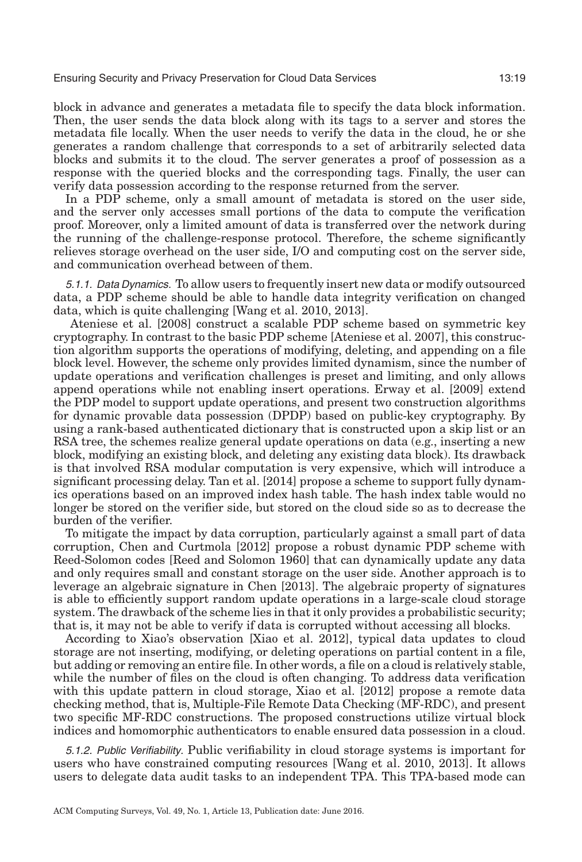block in advance and generates a metadata file to specify the data block information. Then, the user sends the data block along with its tags to a server and stores the metadata file locally. When the user needs to verify the data in the cloud, he or she generates a random challenge that corresponds to a set of arbitrarily selected data blocks and submits it to the cloud. The server generates a proof of possession as a response with the queried blocks and the corresponding tags. Finally, the user can verify data possession according to the response returned from the server.

In a PDP scheme, only a small amount of metadata is stored on the user side, and the server only accesses small portions of the data to compute the verification proof. Moreover, only a limited amount of data is transferred over the network during the running of the challenge-response protocol. Therefore, the scheme significantly relieves storage overhead on the user side, I/O and computing cost on the server side, and communication overhead between of them.

5.1.1. Data Dynamics. To allow users to frequently insert new data or modify outsourced data, a PDP scheme should be able to handle data integrity verification on changed data, which is quite challenging [Wang et al. [2010,](#page-37-5) [2013\]](#page-37-2).

Ateniese et al. [\[2008\]](#page-33-18) construct a scalable PDP scheme based on symmetric key cryptography. In contrast to the basic PDP scheme [Ateniese et al. [2007\]](#page-33-3), this construction algorithm supports the operations of modifying, deleting, and appending on a file block level. However, the scheme only provides limited dynamism, since the number of update operations and verification challenges is preset and limiting, and only allows append operations while not enabling insert operations. Erway et al. [\[2009\]](#page-34-12) extend the PDP model to support update operations, and present two construction algorithms for dynamic provable data possession (DPDP) based on public-key cryptography. By using a rank-based authenticated dictionary that is constructed upon a skip list or an RSA tree, the schemes realize general update operations on data (e.g., inserting a new block, modifying an existing block, and deleting any existing data block). Its drawback is that involved RSA modular computation is very expensive, which will introduce a significant processing delay. Tan et al. [\[2014\]](#page-37-17) propose a scheme to support fully dynamics operations based on an improved index hash table. The hash index table would no longer be stored on the verifier side, but stored on the cloud side so as to decrease the burden of the verifier.

To mitigate the impact by data corruption, particularly against a small part of data corruption, Chen and Curtmola [\[2012\]](#page-33-16) propose a robust dynamic PDP scheme with Reed-Solomon codes [Reed and Solomon [1960\]](#page-36-15) that can dynamically update any data and only requires small and constant storage on the user side. Another approach is to leverage an algebraic signature in Chen [\[2013\]](#page-33-19). The algebraic property of signatures is able to efficiently support random update operations in a large-scale cloud storage system. The drawback of the scheme lies in that it only provides a probabilistic security; that is, it may not be able to verify if data is corrupted without accessing all blocks.

According to Xiao's observation [Xiao et al. [2012\]](#page-38-12), typical data updates to cloud storage are not inserting, modifying, or deleting operations on partial content in a file, but adding or removing an entire file. In other words, a file on a cloud is relatively stable, while the number of files on the cloud is often changing. To address data verification with this update pattern in cloud storage, Xiao et al. [\[2012\]](#page-38-12) propose a remote data checking method, that is, Multiple-File Remote Data Checking (MF-RDC), and present two specific MF-RDC constructions. The proposed constructions utilize virtual block indices and homomorphic authenticators to enable ensured data possession in a cloud.

5.1.2. Public Verifiability. Public verifiability in cloud storage systems is important for users who have constrained computing resources [Wang et al. [2010,](#page-37-5) [2013\]](#page-37-2). It allows users to delegate data audit tasks to an independent TPA. This TPA-based mode can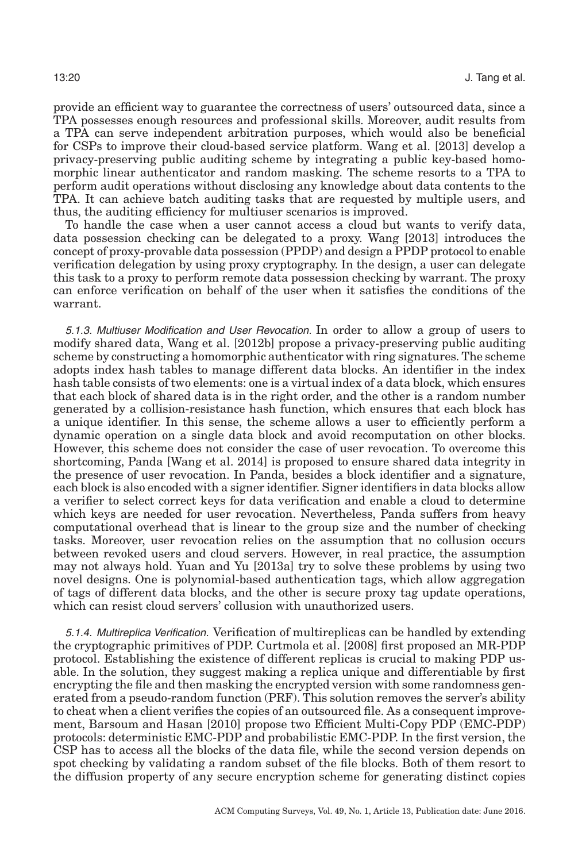provide an efficient way to guarantee the correctness of users' outsourced data, since a TPA possesses enough resources and professional skills. Moreover, audit results from a TPA can serve independent arbitration purposes, which would also be beneficial for CSPs to improve their cloud-based service platform. Wang et al. [\[2013\]](#page-37-2) develop a privacy-preserving public auditing scheme by integrating a public key-based homomorphic linear authenticator and random masking. The scheme resorts to a TPA to perform audit operations without disclosing any knowledge about data contents to the TPA. It can achieve batch auditing tasks that are requested by multiple users, and thus, the auditing efficiency for multiuser scenarios is improved.

To handle the case when a user cannot access a cloud but wants to verify data, data possession checking can be delegated to a proxy. Wang [\[2013\]](#page-37-18) introduces the concept of proxy-provable data possession (PPDP) and design a PPDP protocol to enable verification delegation by using proxy cryptography. In the design, a user can delegate this task to a proxy to perform remote data possession checking by warrant. The proxy can enforce verification on behalf of the user when it satisfies the conditions of the warrant.

5.1.3. Multiuser Modification and User Revocation. In order to allow a group of users to modify shared data, Wang et al. [\[2012b\]](#page-37-8) propose a privacy-preserving public auditing scheme by constructing a homomorphic authenticator with ring signatures. The scheme adopts index hash tables to manage different data blocks. An identifier in the index hash table consists of two elements: one is a virtual index of a data block, which ensures that each block of shared data is in the right order, and the other is a random number generated by a collision-resistance hash function, which ensures that each block has a unique identifier. In this sense, the scheme allows a user to efficiently perform a dynamic operation on a single data block and avoid recomputation on other blocks. However, this scheme does not consider the case of user revocation. To overcome this shortcoming, Panda [Wang et al. [2014\]](#page-37-3) is proposed to ensure shared data integrity in the presence of user revocation. In Panda, besides a block identifier and a signature, each block is also encoded with a signer identifier. Signer identifiers in data blocks allow a verifier to select correct keys for data verification and enable a cloud to determine which keys are needed for user revocation. Nevertheless, Panda suffers from heavy computational overhead that is linear to the group size and the number of checking tasks. Moreover, user revocation relies on the assumption that no collusion occurs between revoked users and cloud servers. However, in real practice, the assumption may not always hold. Yuan and Yu [\[2013a\]](#page-38-2) try to solve these problems by using two novel designs. One is polynomial-based authentication tags, which allow aggregation of tags of different data blocks, and the other is secure proxy tag update operations, which can resist cloud servers' collusion with unauthorized users.

5.1.4. Multireplica Verification. Verification of multireplicas can be handled by extending the cryptographic primitives of PDP. Curtmola et al. [\[2008\]](#page-34-14) first proposed an MR-PDP protocol. Establishing the existence of different replicas is crucial to making PDP usable. In the solution, they suggest making a replica unique and differentiable by first encrypting the file and then masking the encrypted version with some randomness generated from a pseudo-random function (PRF). This solution removes the server's ability to cheat when a client verifies the copies of an outsourced file. As a consequent improvement, Barsoum and Hasan [\[2010\]](#page-33-20) propose two Efficient Multi-Copy PDP (EMC-PDP) protocols: deterministic EMC-PDP and probabilistic EMC-PDP. In the first version, the CSP has to access all the blocks of the data file, while the second version depends on spot checking by validating a random subset of the file blocks. Both of them resort to the diffusion property of any secure encryption scheme for generating distinct copies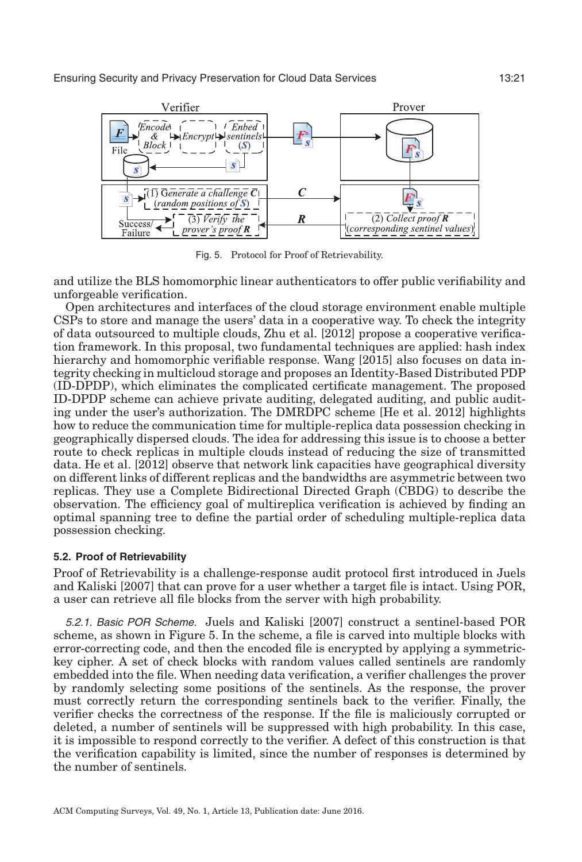<span id="page-20-0"></span>

Fig. 5. Protocol for Proof of Retrievability.

and utilize the BLS homomorphic linear authenticators to offer public verifiability and unforgeable verification.

Open architectures and interfaces of the cloud storage environment enable multiple CSPs to store and manage the users' data in a cooperative way. To check the integrity of data outsourced to multiple clouds, Zhu et al. [\[2012\]](#page-38-13) propose a cooperative verification framework. In this proposal, two fundamental techniques are applied: hash index hierarchy and homomorphic verifiable response. Wang [\[2015\]](#page-37-19) also focuses on data integrity checking in multicloud storage and proposes an Identity-Based Distributed PDP (ID-DPDP), which eliminates the complicated certificate management. The proposed ID-DPDP scheme can achieve private auditing, delegated auditing, and public auditing under the user's authorization. The DMRDPC scheme [He et al. [2012\]](#page-35-16) highlights how to reduce the communication time for multiple-replica data possession checking in geographically dispersed clouds. The idea for addressing this issue is to choose a better route to check replicas in multiple clouds instead of reducing the size of transmitted data. He et al. [\[2012\]](#page-35-16) observe that network link capacities have geographical diversity on different links of different replicas and the bandwidths are asymmetric between two replicas. They use a Complete Bidirectional Directed Graph (CBDG) to describe the observation. The efficiency goal of multireplica verification is achieved by finding an optimal spanning tree to define the partial order of scheduling multiple-replica data possession checking.

#### **5.2. Proof of Retrievability**

Proof of Retrievability is a challenge-response audit protocol first introduced in Juels and Kaliski [\[2007\]](#page-35-4) that can prove for a user whether a target file is intact. Using POR, a user can retrieve all file blocks from the server with high probability.

5.2.1. Basic POR Scheme. Juels and Kaliski [\[2007\]](#page-35-4) construct a sentinel-based POR scheme, as shown in Figure [5.](#page-20-0) In the scheme, a file is carved into multiple blocks with error-correcting code, and then the encoded file is encrypted by applying a symmetrickey cipher. A set of check blocks with random values called sentinels are randomly embedded into the file. When needing data verification, a verifier challenges the prover by randomly selecting some positions of the sentinels. As the response, the prover must correctly return the corresponding sentinels back to the verifier. Finally, the verifier checks the correctness of the response. If the file is maliciously corrupted or deleted, a number of sentinels will be suppressed with high probability. In this case, it is impossible to respond correctly to the verifier. A defect of this construction is that the verification capability is limited, since the number of responses is determined by the number of sentinels.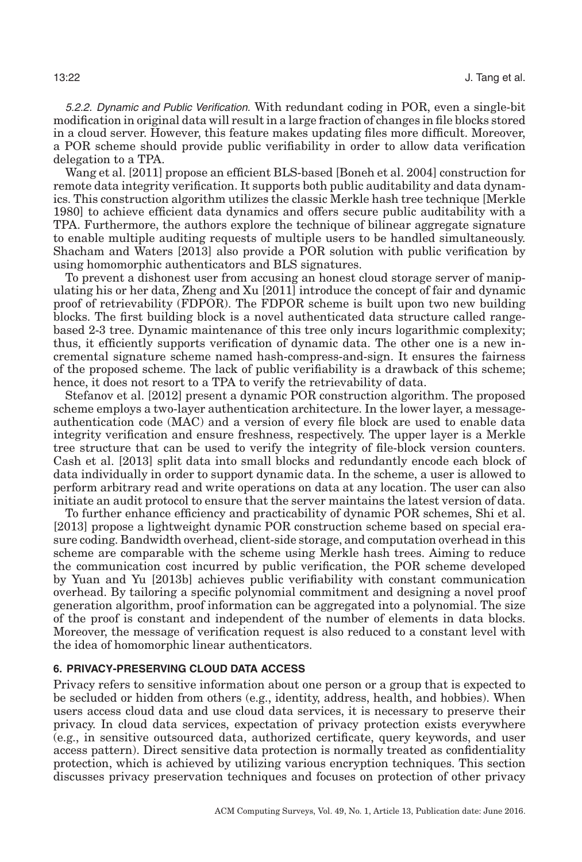5.2.2. Dynamic and Public Verification. With redundant coding in POR, even a single-bit modification in original data will result in a large fraction of changes in file blocks stored in a cloud server. However, this feature makes updating files more difficult. Moreover, a POR scheme should provide public verifiability in order to allow data verification delegation to a TPA.

Wang et al. [\[2011\]](#page-38-3) propose an efficient BLS-based [Boneh et al. [2004\]](#page-33-21) construction for remote data integrity verification. It supports both public auditability and data dynamics. This construction algorithm utilizes the classic Merkle hash tree technique [Merkle [1980\]](#page-36-16) to achieve efficient data dynamics and offers secure public auditability with a TPA. Furthermore, the authors explore the technique of bilinear aggregate signature to enable multiple auditing requests of multiple users to be handled simultaneously. Shacham and Waters [\[2013\]](#page-36-14) also provide a POR solution with public verification by using homomorphic authenticators and BLS signatures.

To prevent a dishonest user from accusing an honest cloud storage server of manipulating his or her data, Zheng and Xu [\[2011\]](#page-38-14) introduce the concept of fair and dynamic proof of retrievability (FDPOR). The FDPOR scheme is built upon two new building blocks. The first building block is a novel authenticated data structure called rangebased 2-3 tree. Dynamic maintenance of this tree only incurs logarithmic complexity; thus, it efficiently supports verification of dynamic data. The other one is a new incremental signature scheme named hash-compress-and-sign. It ensures the fairness of the proposed scheme. The lack of public verifiability is a drawback of this scheme; hence, it does not resort to a TPA to verify the retrievability of data.

Stefanov et al. [\[2012\]](#page-37-16) present a dynamic POR construction algorithm. The proposed scheme employs a two-layer authentication architecture. In the lower layer, a messageauthentication code (MAC) and a version of every file block are used to enable data integrity verification and ensure freshness, respectively. The upper layer is a Merkle tree structure that can be used to verify the integrity of file-block version counters. Cash et al. [\[2013\]](#page-33-17) split data into small blocks and redundantly encode each block of data individually in order to support dynamic data. In the scheme, a user is allowed to perform arbitrary read and write operations on data at any location. The user can also initiate an audit protocol to ensure that the server maintains the latest version of data.

To further enhance efficiency and practicability of dynamic POR schemes, Shi et al. [\[2013\]](#page-36-17) propose a lightweight dynamic POR construction scheme based on special erasure coding. Bandwidth overhead, client-side storage, and computation overhead in this scheme are comparable with the scheme using Merkle hash trees. Aiming to reduce the communication cost incurred by public verification, the POR scheme developed by Yuan and Yu [\[2013b\]](#page-38-15) achieves public verifiability with constant communication overhead. By tailoring a specific polynomial commitment and designing a novel proof generation algorithm, proof information can be aggregated into a polynomial. The size of the proof is constant and independent of the number of elements in data blocks. Moreover, the message of verification request is also reduced to a constant level with the idea of homomorphic linear authenticators.

## **6. PRIVACY-PRESERVING CLOUD DATA ACCESS**

Privacy refers to sensitive information about one person or a group that is expected to be secluded or hidden from others (e.g., identity, address, health, and hobbies). When users access cloud data and use cloud data services, it is necessary to preserve their privacy. In cloud data services, expectation of privacy protection exists everywhere (e.g., in sensitive outsourced data, authorized certificate, query keywords, and user access pattern). Direct sensitive data protection is normally treated as confidentiality protection, which is achieved by utilizing various encryption techniques. This section discusses privacy preservation techniques and focuses on protection of other privacy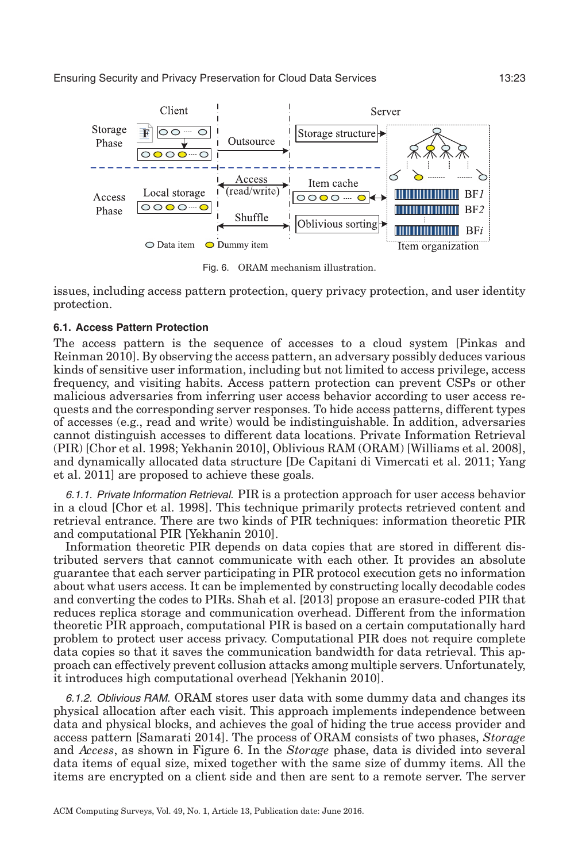<span id="page-22-0"></span>

Fig. 6. ORAM mechanism illustration.

issues, including access pattern protection, query privacy protection, and user identity protection.

### **6.1. Access Pattern Protection**

The access pattern is the sequence of accesses to a cloud system [Pinkas and Reinman [2010\]](#page-36-18). By observing the access pattern, an adversary possibly deduces various kinds of sensitive user information, including but not limited to access privilege, access frequency, and visiting habits. Access pattern protection can prevent CSPs or other malicious adversaries from inferring user access behavior according to user access requests and the corresponding server responses. To hide access patterns, different types of accesses (e.g., read and write) would be indistinguishable. In addition, adversaries cannot distinguish accesses to different data locations. Private Information Retrieval (PIR) [Chor et al. [1998;](#page-33-4) Yekhanin [2010\]](#page-38-16), Oblivious RAM (ORAM) [Williams et al. [2008\]](#page-38-17), and dynamically allocated data structure [De Capitani di Vimercati et al. [2011;](#page-34-15) Yang et al. [2011\]](#page-38-5) are proposed to achieve these goals.

6.1.1. Private Information Retrieval. PIR is a protection approach for user access behavior in a cloud [Chor et al. [1998\]](#page-33-4). This technique primarily protects retrieved content and retrieval entrance. There are two kinds of PIR techniques: information theoretic PIR and computational PIR [Yekhanin [2010\]](#page-38-16).

Information theoretic PIR depends on data copies that are stored in different distributed servers that cannot communicate with each other. It provides an absolute guarantee that each server participating in PIR protocol execution gets no information about what users access. It can be implemented by constructing locally decodable codes and converting the codes to PIRs. Shah et al. [\[2013\]](#page-36-19) propose an erasure-coded PIR that reduces replica storage and communication overhead. Different from the information theoretic PIR approach, computational PIR is based on a certain computationally hard problem to protect user access privacy. Computational PIR does not require complete data copies so that it saves the communication bandwidth for data retrieval. This approach can effectively prevent collusion attacks among multiple servers. Unfortunately, it introduces high computational overhead [Yekhanin [2010\]](#page-38-16).

6.1.2. Oblivious RAM. ORAM stores user data with some dummy data and changes its physical allocation after each visit. This approach implements independence between data and physical blocks, and achieves the goal of hiding the true access provider and access pattern [Samarati [2014\]](#page-36-0). The process of ORAM consists of two phases, *Storage* and *Access*, as shown in Figure [6.](#page-22-0) In the *Storage* phase, data is divided into several data items of equal size, mixed together with the same size of dummy items. All the items are encrypted on a client side and then are sent to a remote server. The server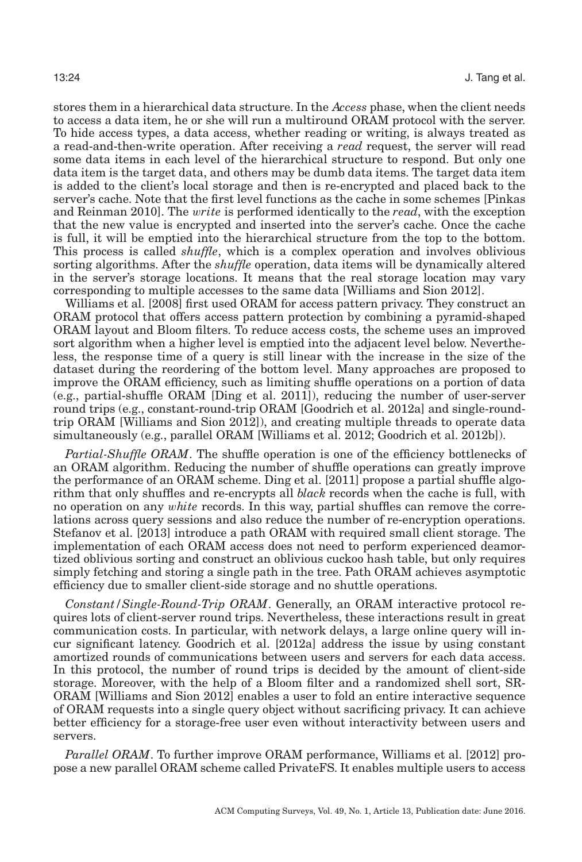stores them in a hierarchical data structure. In the *Access* phase, when the client needs to access a data item, he or she will run a multiround ORAM protocol with the server. To hide access types, a data access, whether reading or writing, is always treated as a read-and-then-write operation. After receiving a *read* request, the server will read some data items in each level of the hierarchical structure to respond. But only one data item is the target data, and others may be dumb data items. The target data item is added to the client's local storage and then is re-encrypted and placed back to the server's cache. Note that the first level functions as the cache in some schemes [Pinkas and Reinman [2010\]](#page-36-18). The w*rite* is performed identically to the *read*, with the exception that the new value is encrypted and inserted into the server's cache. Once the cache is full, it will be emptied into the hierarchical structure from the top to the bottom. This process is called *shuffle*, which is a complex operation and involves oblivious sorting algorithms. After the *shuffle* operation, data items will be dynamically altered in the server's storage locations. It means that the real storage location may vary corresponding to multiple accesses to the same data [Williams and Sion [2012\]](#page-38-18).

Williams et al. [\[2008\]](#page-38-17) first used ORAM for access pattern privacy. They construct an ORAM protocol that offers access pattern protection by combining a pyramid-shaped ORAM layout and Bloom filters. To reduce access costs, the scheme uses an improved sort algorithm when a higher level is emptied into the adjacent level below. Nevertheless, the response time of a query is still linear with the increase in the size of the dataset during the reordering of the bottom level. Many approaches are proposed to improve the ORAM efficiency, such as limiting shuffle operations on a portion of data (e.g., partial-shuffle ORAM [Ding et al. [2011\]](#page-34-2)), reducing the number of user-server round trips (e.g., constant-round-trip ORAM [Goodrich et al. [2012a\]](#page-35-17) and single-roundtrip ORAM [Williams and Sion [2012\]](#page-38-18)), and creating multiple threads to operate data simultaneously (e.g., parallel ORAM [Williams et al. [2012;](#page-38-19) Goodrich et al. [2012b\]](#page-35-18)).

*Partial-Shuffle ORAM*. The shuffle operation is one of the efficiency bottlenecks of an ORAM algorithm. Reducing the number of shuffle operations can greatly improve the performance of an ORAM scheme. Ding et al. [\[2011\]](#page-34-2) propose a partial shuffle algorithm that only shuffles and re-encrypts all *black* records when the cache is full, with no operation on any w*hite* records. In this way, partial shuffles can remove the correlations across query sessions and also reduce the number of re-encryption operations. Stefanov et al. [\[2013\]](#page-37-20) introduce a path ORAM with required small client storage. The implementation of each ORAM access does not need to perform experienced deamortized oblivious sorting and construct an oblivious cuckoo hash table, but only requires simply fetching and storing a single path in the tree. Path ORAM achieves asymptotic efficiency due to smaller client-side storage and no shuttle operations.

*Constant/Single-Round-Trip ORAM*. Generally, an ORAM interactive protocol requires lots of client-server round trips. Nevertheless, these interactions result in great communication costs. In particular, with network delays, a large online query will incur significant latency. Goodrich et al. [\[2012a\]](#page-35-17) address the issue by using constant amortized rounds of communications between users and servers for each data access. In this protocol, the number of round trips is decided by the amount of client-side storage. Moreover, with the help of a Bloom filter and a randomized shell sort, SR-ORAM [Williams and Sion [2012\]](#page-38-18) enables a user to fold an entire interactive sequence of ORAM requests into a single query object without sacrificing privacy. It can achieve better efficiency for a storage-free user even without interactivity between users and servers.

*Parallel ORAM*. To further improve ORAM performance, Williams et al. [\[2012\]](#page-38-19) propose a new parallel ORAM scheme called PrivateFS. It enables multiple users to access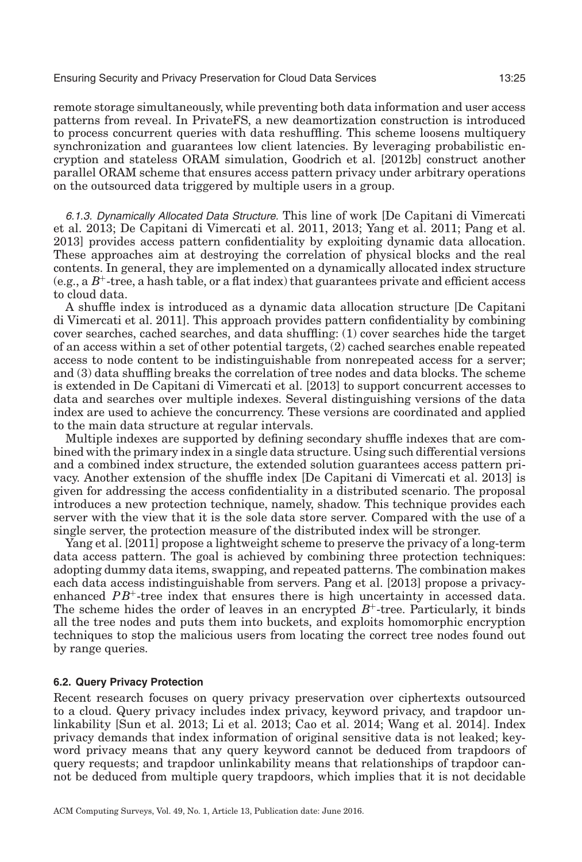remote storage simultaneously, while preventing both data information and user access patterns from reveal. In PrivateFS, a new deamortization construction is introduced to process concurrent queries with data reshuffling. This scheme loosens multiquery synchronization and guarantees low client latencies. By leveraging probabilistic encryption and stateless ORAM simulation, Goodrich et al. [\[2012b\]](#page-35-18) construct another parallel ORAM scheme that ensures access pattern privacy under arbitrary operations on the outsourced data triggered by multiple users in a group.

6.1.3. Dynamically Allocated Data Structure. This line of work [De Capitani di Vimercati et al. [2013;](#page-34-16) De Capitani di Vimercati et al. [2011,](#page-34-15) [2013;](#page-34-17) Yang et al. [2011;](#page-38-5) Pang et al. [2013\]](#page-36-20) provides access pattern confidentiality by exploiting dynamic data allocation. These approaches aim at destroying the correlation of physical blocks and the real contents. In general, they are implemented on a dynamically allocated index structure  $(e.g., a B<sup>+</sup>-tree, a hash table, or a flat index) that guarantees private and efficient access$ to cloud data.

A shuffle index is introduced as a dynamic data allocation structure [De Capitani di Vimercati et al. [2011\]](#page-34-15). This approach provides pattern confidentiality by combining cover searches, cached searches, and data shuffling: (1) cover searches hide the target of an access within a set of other potential targets, (2) cached searches enable repeated access to node content to be indistinguishable from nonrepeated access for a server; and (3) data shuffling breaks the correlation of tree nodes and data blocks. The scheme is extended in De Capitani di Vimercati et al. [\[2013\]](#page-34-17) to support concurrent accesses to data and searches over multiple indexes. Several distinguishing versions of the data index are used to achieve the concurrency. These versions are coordinated and applied to the main data structure at regular intervals.

Multiple indexes are supported by defining secondary shuffle indexes that are combined with the primary index in a single data structure. Using such differential versions and a combined index structure, the extended solution guarantees access pattern privacy. Another extension of the shuffle index [De Capitani di Vimercati et al. [2013\]](#page-34-16) is given for addressing the access confidentiality in a distributed scenario. The proposal introduces a new protection technique, namely, shadow. This technique provides each server with the view that it is the sole data store server. Compared with the use of a single server, the protection measure of the distributed index will be stronger.

Yang et al. [\[2011\]](#page-38-5) propose a lightweight scheme to preserve the privacy of a long-term data access pattern. The goal is achieved by combining three protection techniques: adopting dummy data items, swapping, and repeated patterns. The combination makes each data access indistinguishable from servers. Pang et al. [\[2013\]](#page-36-20) propose a privacyenhanced  $PB<sup>+</sup>$ -tree index that ensures there is high uncertainty in accessed data. The scheme hides the order of leaves in an encrypted  $B^+$ -tree. Particularly, it binds all the tree nodes and puts them into buckets, and exploits homomorphic encryption techniques to stop the malicious users from locating the correct tree nodes found out by range queries.

#### **6.2. Query Privacy Protection**

Recent research focuses on query privacy preservation over ciphertexts outsourced to a cloud. Query privacy includes index privacy, keyword privacy, and trapdoor unlinkability [Sun et al. [2013;](#page-37-4) Li et al. [2013;](#page-36-4) Cao et al. [2014;](#page-33-5) Wang et al. [2014\]](#page-37-11). Index privacy demands that index information of original sensitive data is not leaked; keyword privacy means that any query keyword cannot be deduced from trapdoors of query requests; and trapdoor unlinkability means that relationships of trapdoor cannot be deduced from multiple query trapdoors, which implies that it is not decidable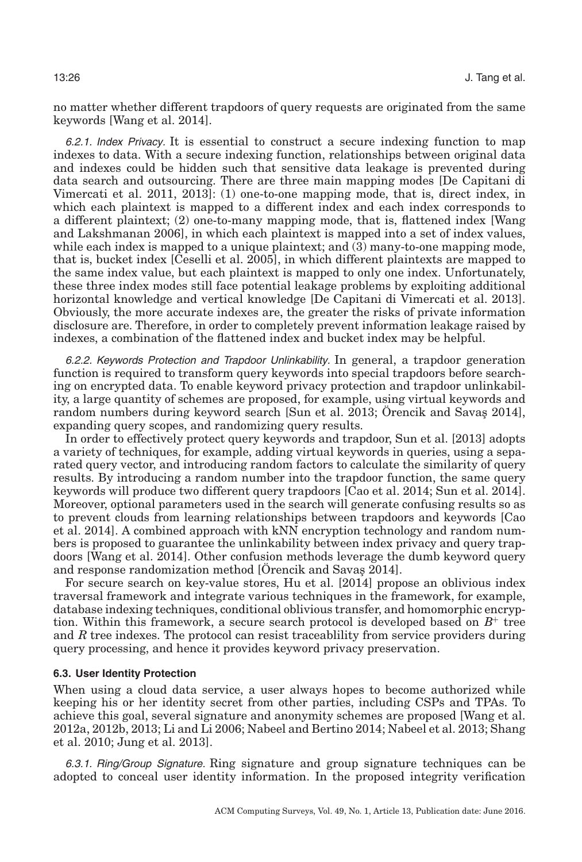no matter whether different trapdoors of query requests are originated from the same keywords [Wang et al. [2014\]](#page-37-11).

6.2.1. Index Privacy. It is essential to construct a secure indexing function to map indexes to data. With a secure indexing function, relationships between original data and indexes could be hidden such that sensitive data leakage is prevented during data search and outsourcing. There are three main mapping modes [De Capitani di Vimercati et al. [2011,](#page-34-3) [2013\]](#page-34-18): (1) one-to-one mapping mode, that is, direct index, in which each plaintext is mapped to a different index and each index corresponds to a different plaintext; (2) one-to-many mapping mode, that is, flattened index [Wang and Lakshmanan [2006\]](#page-37-21), in which each plaintext is mapped into a set of index values, while each index is mapped to a unique plaintext; and (3) many-to-one mapping mode, that is, bucket index [Ceselli et al. [2005\]](#page-33-22), in which different plaintexts are mapped to the same index value, but each plaintext is mapped to only one index. Unfortunately, these three index modes still face potential leakage problems by exploiting additional horizontal knowledge and vertical knowledge [De Capitani di Vimercati et al. [2013\]](#page-34-18). Obviously, the more accurate indexes are, the greater the risks of private information disclosure are. Therefore, in order to completely prevent information leakage raised by indexes, a combination of the flattened index and bucket index may be helpful.

6.2.2. Keywords Protection and Trapdoor Unlinkability. In general, a trapdoor generation function is required to transform query keywords into special trapdoors before searching on encrypted data. To enable keyword privacy protection and trapdoor unlinkability, a large quantity of schemes are proposed, for example, using virtual keywords and random numbers during keyword search [Sun et al. [2013;](#page-37-4) Örencik and Savas [2014\]](#page-36-5), expanding query scopes, and randomizing query results.

In order to effectively protect query keywords and trapdoor, Sun et al. [\[2013\]](#page-37-4) adopts a variety of techniques, for example, adding virtual keywords in queries, using a separated query vector, and introducing random factors to calculate the similarity of query results. By introducing a random number into the trapdoor function, the same query keywords will produce two different query trapdoors [Cao et al. [2014;](#page-33-5) Sun et al. [2014\]](#page-37-10). Moreover, optional parameters used in the search will generate confusing results so as to prevent clouds from learning relationships between trapdoors and keywords [Cao et al. [2014\]](#page-33-5). A combined approach with kNN encryption technology and random numbers is proposed to guarantee the unlinkability between index privacy and query trapdoors [Wang et al. [2014\]](#page-37-11). Other confusion methods leverage the dumb keyword query and response randomization method [Orencik and Savas [2014\]](#page-36-5).

For secure search on key-value stores, Hu et al. [\[2014\]](#page-35-19) propose an oblivious index traversal framework and integrate various techniques in the framework, for example, database indexing techniques, conditional oblivious transfer, and homomorphic encryption. Within this framework, a secure search protocol is developed based on *B*<sup>+</sup> tree and *R* tree indexes. The protocol can resist traceablility from service providers during query processing, and hence it provides keyword privacy preservation.

### **6.3. User Identity Protection**

When using a cloud data service, a user always hopes to become authorized while keeping his or her identity secret from other parties, including CSPs and TPAs. To achieve this goal, several signature and anonymity schemes are proposed [Wang et al. [2012a,](#page-37-7) [2012b,](#page-37-8) [2013;](#page-37-22) Li and Li [2006;](#page-35-20) Nabeel and Bertino [2014;](#page-36-11) Nabeel et al. [2013;](#page-36-21) Shang et al. [2010;](#page-36-22) Jung et al. [2013\]](#page-35-21).

6.3.1. Ring/Group Signature. Ring signature and group signature techniques can be adopted to conceal user identity information. In the proposed integrity verification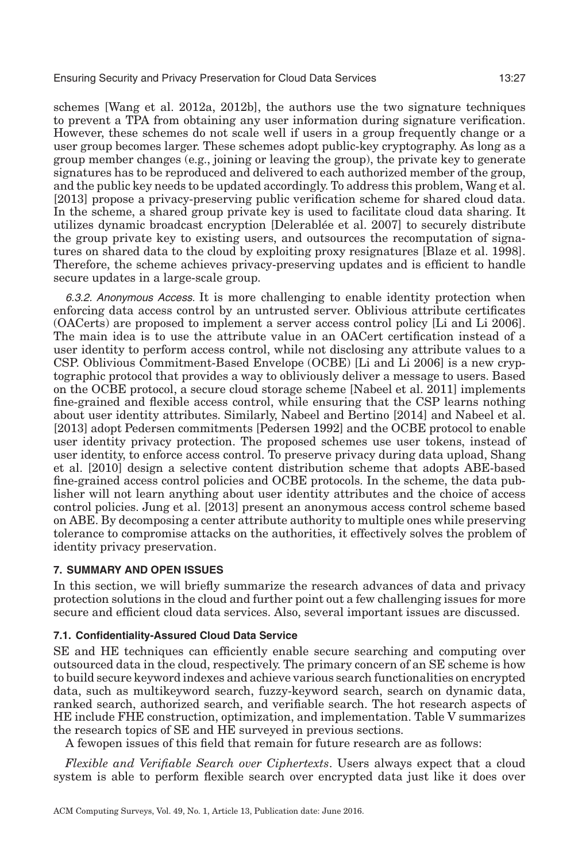schemes [Wang et al. [2012a,](#page-37-7) [2012b\]](#page-37-8), the authors use the two signature techniques to prevent a TPA from obtaining any user information during signature verification. However, these schemes do not scale well if users in a group frequently change or a user group becomes larger. These schemes adopt public-key cryptography. As long as a group member changes (e.g., joining or leaving the group), the private key to generate signatures has to be reproduced and delivered to each authorized member of the group, and the public key needs to be updated accordingly. To address this problem, Wang et al. [\[2013\]](#page-37-22) propose a privacy-preserving public verification scheme for shared cloud data. In the scheme, a shared group private key is used to facilitate cloud data sharing. It utilizes dynamic broadcast encryption [Delerablee et al. [2007\]](#page-34-19) to securely distribute ´ the group private key to existing users, and outsources the recomputation of signatures on shared data to the cloud by exploiting proxy resignatures [Blaze et al. [1998\]](#page-33-15). Therefore, the scheme achieves privacy-preserving updates and is efficient to handle secure updates in a large-scale group.

6.3.2. Anonymous Access. It is more challenging to enable identity protection when enforcing data access control by an untrusted server. Oblivious attribute certificates (OACerts) are proposed to implement a server access control policy [Li and Li [2006\]](#page-35-20). The main idea is to use the attribute value in an OACert certification instead of a user identity to perform access control, while not disclosing any attribute values to a CSP. Oblivious Commitment-Based Envelope (OCBE) [Li and Li [2006\]](#page-35-20) is a new cryptographic protocol that provides a way to obliviously deliver a message to users. Based on the OCBE protocol, a secure cloud storage scheme [Nabeel et al. [2011\]](#page-36-3) implements fine-grained and flexible access control, while ensuring that the CSP learns nothing about user identity attributes. Similarly, Nabeel and Bertino [\[2014\]](#page-36-11) and Nabeel et al. [\[2013\]](#page-36-21) adopt Pedersen commitments [Pedersen [1992\]](#page-36-23) and the OCBE protocol to enable user identity privacy protection. The proposed schemes use user tokens, instead of user identity, to enforce access control. To preserve privacy during data upload, Shang et al. [\[2010\]](#page-36-22) design a selective content distribution scheme that adopts ABE-based fine-grained access control policies and OCBE protocols. In the scheme, the data publisher will not learn anything about user identity attributes and the choice of access control policies. Jung et al. [\[2013\]](#page-35-21) present an anonymous access control scheme based on ABE. By decomposing a center attribute authority to multiple ones while preserving tolerance to compromise attacks on the authorities, it effectively solves the problem of identity privacy preservation.

## <span id="page-26-0"></span>**7. SUMMARY AND OPEN ISSUES**

In this section, we will briefly summarize the research advances of data and privacy protection solutions in the cloud and further point out a few challenging issues for more secure and efficient cloud data services. Also, several important issues are discussed.

## **7.1. Confidentiality-Assured Cloud Data Service**

SE and HE techniques can efficiently enable secure searching and computing over outsourced data in the cloud, respectively. The primary concern of an SE scheme is how to build secure keyword indexes and achieve various search functionalities on encrypted data, such as multikeyword search, fuzzy-keyword search, search on dynamic data, ranked search, authorized search, and verifiable search. The hot research aspects of HE include FHE construction, optimization, and implementation. Table [V](#page-27-0) summarizes the research topics of SE and HE surveyed in previous sections.

A fewopen issues of this field that remain for future research are as follows:

*Flexible and Verifiable Search over Ciphertexts*. Users always expect that a cloud system is able to perform flexible search over encrypted data just like it does over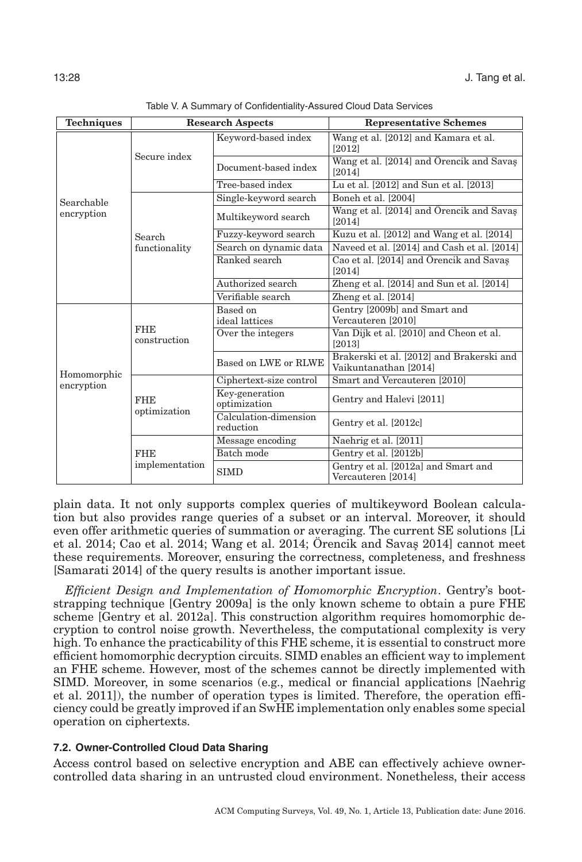<span id="page-27-0"></span>

| <b>Techniques</b>         | <b>Research Aspects</b>    |                                    | <b>Representative Schemes</b>                                      |
|---------------------------|----------------------------|------------------------------------|--------------------------------------------------------------------|
|                           |                            | Keyword-based index                | Wang et al. [2012] and Kamara et al.<br>[2012]                     |
|                           | Secure index               | Document-based index               | Wang et al. [2014] and Örencik and Savaş<br>[2014]                 |
|                           |                            | Tree-based index                   | Lu et al. [2012] and Sun et al. [2013]                             |
| Searchable                |                            | Single-keyword search              | Boneh et al. [2004]                                                |
| encryption                |                            | Multikeyword search                | Wang et al. [2014] and Örencik and Savaş<br>[2014]                 |
|                           | Search                     | Fuzzy-keyword search               | Kuzu et al. [2012] and Wang et al. [2014]                          |
|                           | functionality              | Search on dynamic data             | Naveed et al. [2014] and Cash et al. [2014]                        |
|                           |                            | Ranked search                      | Cao et al. [2014] and Örencik and Savaş<br>[2014]                  |
|                           |                            | Authorized search                  | Zheng et al. [2014] and Sun et al. [2014]                          |
|                           |                            | Verifiable search                  | Zheng et al. [2014]                                                |
|                           | <b>FHE</b><br>construction | Based on<br>ideal lattices         | Gentry [2009b] and Smart and<br>Vercauteren [2010]                 |
|                           |                            | Over the integers                  | Van Dijk et al. [2010] and Cheon et al.<br>[2013]                  |
|                           |                            | Based on LWE or RLWE               | Brakerski et al. [2012] and Brakerski and<br>Vaikuntanathan [2014] |
| Homomorphic<br>encryption | <b>FHE</b><br>optimization | Ciphertext-size control            | Smart and Vercauteren [2010]                                       |
|                           |                            | Key-generation<br>optimization     | Gentry and Halevi [2011]                                           |
|                           |                            | Calculation-dimension<br>reduction | Gentry et al. [2012c]                                              |
|                           |                            | Message encoding                   | Naehrig et al. [2011]                                              |
|                           | <b>FHE</b>                 | Batch mode                         | Gentry et al. [2012b]                                              |
|                           | implementation             | <b>SIMD</b>                        | Gentry et al. [2012a] and Smart and<br>Vercauteren [2014]          |

Table V. A Summary of Confidentiality-Assured Cloud Data Services

plain data. It not only supports complex queries of multikeyword Boolean calculation but also provides range queries of a subset or an interval. Moreover, it should even offer arithmetic queries of summation or averaging. The current SE solutions [Li et al. [2014;](#page-37-11) Cao et al. 2014; Wang et al. 2014; Örencik and Savas  $2014$ ] cannot meet these requirements. Moreover, ensuring the correctness, completeness, and freshness [Samarati [2014\]](#page-36-0) of the query results is another important issue.

*Efficient Design and Implementation of Homomorphic Encryption*. Gentry's bootstrapping technique [Gentry [2009a\]](#page-34-5) is the only known scheme to obtain a pure FHE scheme [Gentry et al. [2012a\]](#page-35-9). This construction algorithm requires homomorphic decryption to control noise growth. Nevertheless, the computational complexity is very high. To enhance the practicability of this FHE scheme, it is essential to construct more efficient homomorphic decryption circuits. SIMD enables an efficient way to implement an FHE scheme. However, most of the schemes cannot be directly implemented with SIMD. Moreover, in some scenarios (e.g., medical or financial applications [Naehrig et al. [2011\]](#page-36-9)), the number of operation types is limited. Therefore, the operation efficiency could be greatly improved if an SwHE implementation only enables some special operation on ciphertexts.

## **7.2. Owner-Controlled Cloud Data Sharing**

Access control based on selective encryption and ABE can effectively achieve ownercontrolled data sharing in an untrusted cloud environment. Nonetheless, their access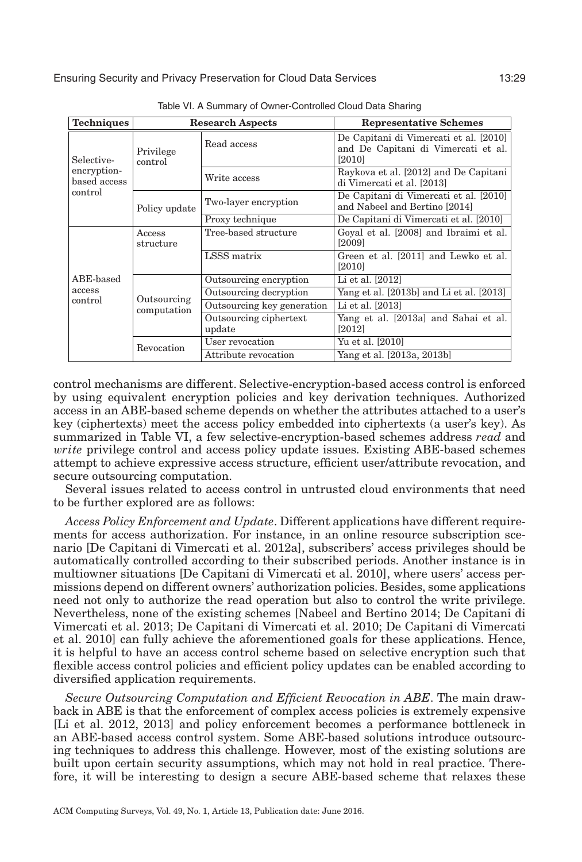<span id="page-28-0"></span>

| <b>Techniques</b>                      |                            | <b>Research Aspects</b>          | <b>Representative Schemes</b>                                                           |
|----------------------------------------|----------------------------|----------------------------------|-----------------------------------------------------------------------------------------|
| Selective-                             | Privilege<br>control       | Read access                      | De Capitani di Vimercati et al. [2010]<br>and De Capitani di Vimercati et al.<br>[2010] |
| encryption-<br>based access<br>control |                            | Write access                     | Raykova et al. [2012] and De Capitani<br>di Vimercati et al. [2013]                     |
|                                        | Policy update              | Two-layer encryption             | De Capitani di Vimercati et al. [2010]<br>and Nabeel and Bertino [2014]                 |
|                                        |                            | Proxy technique                  | De Capitani di Vimercati et al. [2010]                                                  |
|                                        | Access<br>structure        | Tree-based structure             | Goyal et al. [2008] and Ibraimi et al.<br>[2009]                                        |
|                                        |                            | LSSS matrix                      | Green et al. [2011] and Lewko et al.<br>[2010]                                          |
| ABE-based                              |                            | Outsourcing encryption           | Li et al. [2012]                                                                        |
| access                                 | Outsourcing<br>computation | Outsourcing decryption           | Yang et al. [2013b] and Li et al. [2013]                                                |
| control                                |                            | Outsourcing key generation       | Li et al. [2013]                                                                        |
|                                        |                            | Outsourcing ciphertext<br>update | Yang et al. [2013a] and Sahai et al.<br>[2012]                                          |
|                                        | Revocation                 | User revocation                  | Yu et al. [2010]                                                                        |
|                                        |                            | Attribute revocation             | Yang et al. [2013a, 2013b]                                                              |

Table VI. A Summary of Owner-Controlled Cloud Data Sharing

control mechanisms are different. Selective-encryption-based access control is enforced by using equivalent encryption policies and key derivation techniques. Authorized access in an ABE-based scheme depends on whether the attributes attached to a user's key (ciphertexts) meet the access policy embedded into ciphertexts (a user's key). As summarized in Table [VI,](#page-28-0) a few selective-encryption-based schemes address *read* and w*rite* privilege control and access policy update issues. Existing ABE-based schemes attempt to achieve expressive access structure, efficient user/attribute revocation, and secure outsourcing computation.

Several issues related to access control in untrusted cloud environments that need to be further explored are as follows:

*Access Policy Enforcement and Update*. Different applications have different requirements for access authorization. For instance, in an online resource subscription scenario [De Capitani di Vimercati et al. [2012a\]](#page-34-20), subscribers' access privileges should be automatically controlled according to their subscribed periods. Another instance is in multiowner situations [De Capitani di Vimercati et al. [2010\]](#page-34-10), where users' access permissions depend on different owners' authorization policies. Besides, some applications need not only to authorize the read operation but also to control the write privilege. Nevertheless, none of the existing schemes [Nabeel and Bertino [2014;](#page-36-11) De Capitani di Vimercati et al. [2013;](#page-34-9) De Capitani di Vimercati et al. [2010;](#page-34-1) De Capitani di Vimercati et al. [2010\]](#page-34-10) can fully achieve the aforementioned goals for these applications. Hence, it is helpful to have an access control scheme based on selective encryption such that flexible access control policies and efficient policy updates can be enabled according to diversified application requirements.

*Secure Outsourcing Computation and Efficient Revocation in ABE*. The main drawback in ABE is that the enforcement of complex access policies is extremely expensive [Li et al. [2012,](#page-35-2) [2013\]](#page-35-10) and policy enforcement becomes a performance bottleneck in an ABE-based access control system. Some ABE-based solutions introduce outsourcing techniques to address this challenge. However, most of the existing solutions are built upon certain security assumptions, which may not hold in real practice. Therefore, it will be interesting to design a secure ABE-based scheme that relaxes these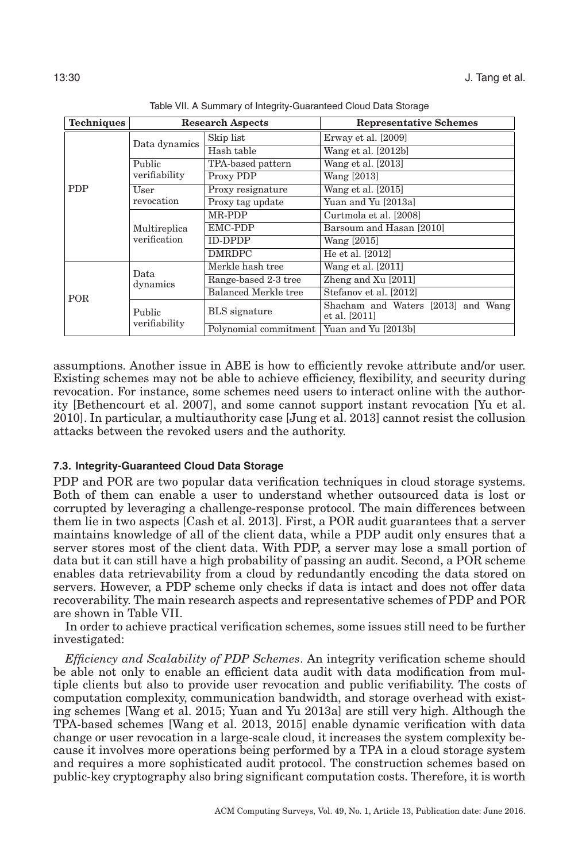<span id="page-29-0"></span>

| <b>Techniques</b> | <b>Research Aspects</b>      |                             | <b>Representative Schemes</b>                       |
|-------------------|------------------------------|-----------------------------|-----------------------------------------------------|
|                   | Data dynamics                | Skip list                   | Erway et al. [2009]                                 |
|                   |                              | Hash table                  | Wang et al. [2012b]                                 |
|                   | Public                       | TPA-based pattern           | Wang et al. [2013]                                  |
|                   | verifiability                | Proxy PDP                   | Wang [2013]                                         |
| <b>PDP</b>        | User                         | Proxy resignature           | Wang et al. [2015]                                  |
|                   | revocation                   | Proxy tag update            | Yuan and Yu [2013a]                                 |
|                   | Multireplica<br>verification | MR-PDP                      | Curtmola et al. [2008]                              |
|                   |                              | <b>EMC-PDP</b>              | Barsoum and Hasan [2010]                            |
|                   |                              | <b>ID-DPDP</b>              | Wang [2015]                                         |
|                   |                              | <b>DMRDPC</b>               | He et al. [2012]                                    |
| <b>POR</b>        | Data<br>dynamics             | Merkle hash tree            | Wang et al. [2011]                                  |
|                   |                              | Range-based 2-3 tree        | Zheng and $Xu$ [2011]                               |
|                   |                              | <b>Balanced Merkle tree</b> | Stefanov et al. [2012]                              |
|                   | Public                       | <b>BLS</b> signature        | Shacham and Waters [2013] and Wang<br>et al. [2011] |
|                   | verifiability                | Polynomial commitment       | Yuan and Yu [2013b]                                 |

Table VII. A Summary of Integrity-Guaranteed Cloud Data Storage

assumptions. Another issue in ABE is how to efficiently revoke attribute and/or user. Existing schemes may not be able to achieve efficiency, flexibility, and security during revocation. For instance, some schemes need users to interact online with the authority [Bethencourt et al. [2007\]](#page-33-13), and some cannot support instant revocation [Yu et al. [2010\]](#page-38-8). In particular, a multiauthority case [Jung et al. [2013\]](#page-35-21) cannot resist the collusion attacks between the revoked users and the authority.

## **7.3. Integrity-Guaranteed Cloud Data Storage**

PDP and POR are two popular data verification techniques in cloud storage systems. Both of them can enable a user to understand whether outsourced data is lost or corrupted by leveraging a challenge-response protocol. The main differences between them lie in two aspects [Cash et al. [2013\]](#page-33-17). First, a POR audit guarantees that a server maintains knowledge of all of the client data, while a PDP audit only ensures that a server stores most of the client data. With PDP, a server may lose a small portion of data but it can still have a high probability of passing an audit. Second, a POR scheme enables data retrievability from a cloud by redundantly encoding the data stored on servers. However, a PDP scheme only checks if data is intact and does not offer data recoverability. The main research aspects and representative schemes of PDP and POR are shown in Table [VII.](#page-29-0)

In order to achieve practical verification schemes, some issues still need to be further investigated:

*Efficiency and Scalability of PDP Schemes*. An integrity verification scheme should be able not only to enable an efficient data audit with data modification from multiple clients but also to provide user revocation and public verifiability. The costs of computation complexity, communication bandwidth, and storage overhead with existing schemes [Wang et al. [2015;](#page-37-3) Yuan and Yu [2013a\]](#page-38-2) are still very high. Although the TPA-based schemes [Wang et al. [2013,](#page-37-2) [2015\]](#page-37-3) enable dynamic verification with data change or user revocation in a large-scale cloud, it increases the system complexity because it involves more operations being performed by a TPA in a cloud storage system and requires a more sophisticated audit protocol. The construction schemes based on public-key cryptography also bring significant computation costs. Therefore, it is worth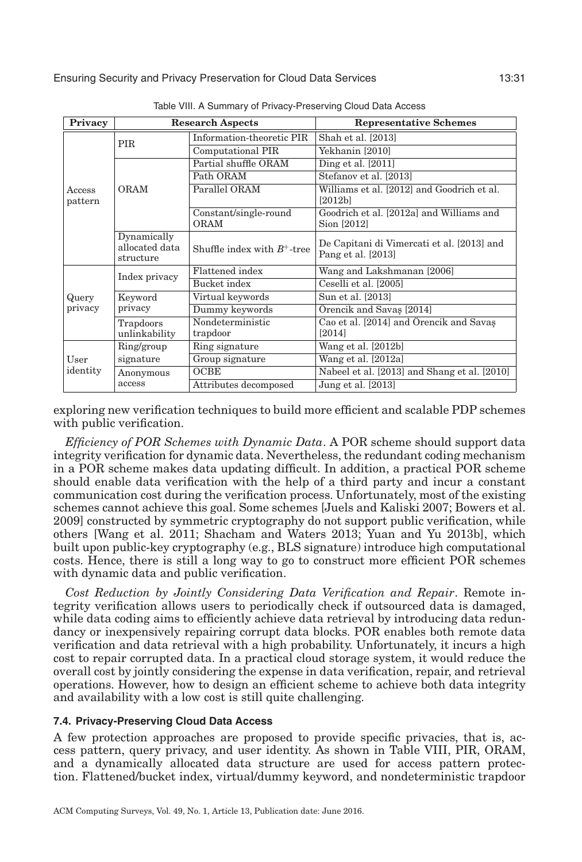<span id="page-30-0"></span>

| Privacy           | <b>Research Aspects</b>                    |                                      | <b>Representative Schemes</b>                                    |
|-------------------|--------------------------------------------|--------------------------------------|------------------------------------------------------------------|
|                   | <b>PIR</b>                                 | Information-theoretic PIR            | Shah et al. [2013]                                               |
|                   |                                            | Computational PIR                    | Yekhanin [2010]                                                  |
|                   |                                            | Partial shuffle ORAM                 | Ding et al. $[2011]$                                             |
|                   |                                            | Path ORAM                            | Stefanov et al. [2013]                                           |
| Access<br>pattern | <b>ORAM</b>                                | Parallel ORAM                        | Williams et al. [2012] and Goodrich et al.<br>[2012b]            |
|                   |                                            | Constant/single-round<br><b>ORAM</b> | Goodrich et al. [2012a] and Williams and<br>Sion [2012]          |
|                   | Dynamically<br>allocated data<br>structure | Shuffle index with $B^+$ -tree       | De Capitani di Vimercati et al. [2013] and<br>Pang et al. [2013] |
|                   | Index privacy                              | Flattened index                      | Wang and Lakshmanan [2006]                                       |
|                   |                                            | Bucket index                         | Ceselli et al. [2005]                                            |
| Query             | Keyword                                    | Virtual keywords                     | Sun et al. [2013]                                                |
| privacy           | privacy                                    | Dummy keywords                       | Örencik and Savaş [2014]                                         |
|                   | Trapdoors<br>unlinkability                 | Nondeterministic<br>trapdoor         | Cao et al. [2014] and Orencik and Savas<br>[2014]                |
| User              | Ring/group                                 | Ring signature                       | Wang et al. [2012b]                                              |
|                   | signature                                  | Group signature                      | Wang et al. [2012a]                                              |
| identity          | Anonymous                                  | OCBE                                 | Nabeel et al. [2013] and Shang et al. [2010]                     |
|                   | access                                     | Attributes decomposed                | Jung et al. [2013]                                               |

Table VIII. A Summary of Privacy-Preserving Cloud Data Access

exploring new verification techniques to build more efficient and scalable PDP schemes with public verification.

*Efficiency of POR Schemes with Dynamic Data*. A POR scheme should support data integrity verification for dynamic data. Nevertheless, the redundant coding mechanism in a POR scheme makes data updating difficult. In addition, a practical POR scheme should enable data verification with the help of a third party and incur a constant communication cost during the verification process. Unfortunately, most of the existing schemes cannot achieve this goal. Some schemes [Juels and Kaliski [2007;](#page-35-4) Bowers et al. [2009\]](#page-33-23) constructed by symmetric cryptography do not support public verification, while others [Wang et al. [2011;](#page-38-3) Shacham and Waters [2013;](#page-36-14) Yuan and Yu [2013b\]](#page-38-15), which built upon public-key cryptography (e.g., BLS signature) introduce high computational costs. Hence, there is still a long way to go to construct more efficient POR schemes with dynamic data and public verification.

*Cost Reduction by Jointly Considering Data Verification and Repair*. Remote integrity verification allows users to periodically check if outsourced data is damaged, while data coding aims to efficiently achieve data retrieval by introducing data redundancy or inexpensively repairing corrupt data blocks. POR enables both remote data verification and data retrieval with a high probability. Unfortunately, it incurs a high cost to repair corrupted data. In a practical cloud storage system, it would reduce the overall cost by jointly considering the expense in data verification, repair, and retrieval operations. However, how to design an efficient scheme to achieve both data integrity and availability with a low cost is still quite challenging.

#### **7.4. Privacy-Preserving Cloud Data Access**

A few protection approaches are proposed to provide specific privacies, that is, access pattern, query privacy, and user identity. As shown in Table [VIII,](#page-30-0) PIR, ORAM, and a dynamically allocated data structure are used for access pattern protection. Flattened/bucket index, virtual/dummy keyword, and nondeterministic trapdoor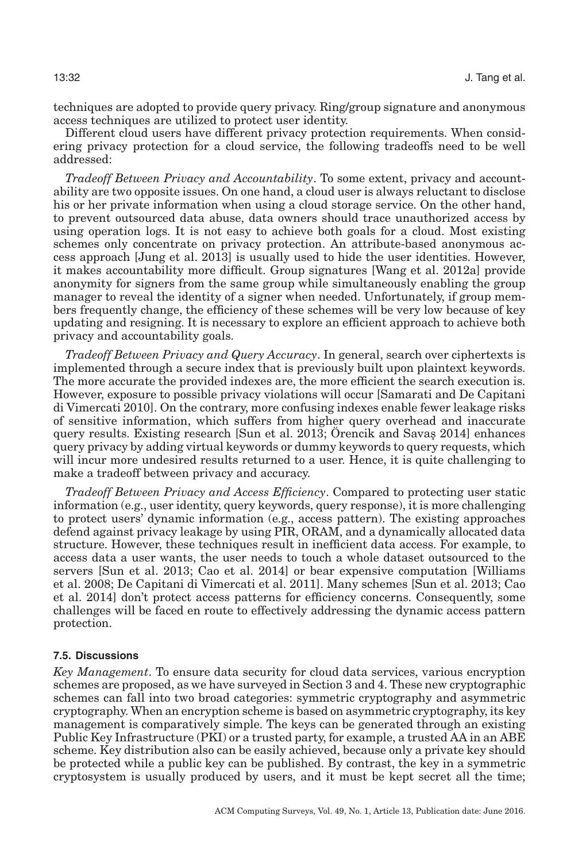techniques are adopted to provide query privacy. Ring/group signature and anonymous access techniques are utilized to protect user identity.

Different cloud users have different privacy protection requirements. When considering privacy protection for a cloud service, the following tradeoffs need to be well addressed:

*Tradeoff Between Privacy and Accountability*. To some extent, privacy and accountability are two opposite issues. On one hand, a cloud user is always reluctant to disclose his or her private information when using a cloud storage service. On the other hand, to prevent outsourced data abuse, data owners should trace unauthorized access by using operation logs. It is not easy to achieve both goals for a cloud. Most existing schemes only concentrate on privacy protection. An attribute-based anonymous access approach [Jung et al. [2013\]](#page-35-21) is usually used to hide the user identities. However, it makes accountability more difficult. Group signatures [Wang et al. [2012a\]](#page-37-7) provide anonymity for signers from the same group while simultaneously enabling the group manager to reveal the identity of a signer when needed. Unfortunately, if group members frequently change, the efficiency of these schemes will be very low because of key updating and resigning. It is necessary to explore an efficient approach to achieve both privacy and accountability goals.

*Tradeoff Between Privacy and Query Accuracy*. In general, search over ciphertexts is implemented through a secure index that is previously built upon plaintext keywords. The more accurate the provided indexes are, the more efficient the search execution is. However, exposure to possible privacy violations will occur [Samarati and De Capitani di Vimercati [2010\]](#page-36-24). On the contrary, more confusing indexes enable fewer leakage risks of sensitive information, which suffers from higher query overhead and inaccurate query results. Existing research [Sun et al. [2013;](#page-37-4) Orencik and Savas [2014\]](#page-36-5) enhances query privacy by adding virtual keywords or dummy keywords to query requests, which will incur more undesired results returned to a user. Hence, it is quite challenging to make a tradeoff between privacy and accuracy.

*Tradeoff Between Privacy and Access Efficiency*. Compared to protecting user static information (e.g., user identity, query keywords, query response), it is more challenging to protect users' dynamic information (e.g., access pattern). The existing approaches defend against privacy leakage by using PIR, ORAM, and a dynamically allocated data structure. However, these techniques result in inefficient data access. For example, to access data a user wants, the user needs to touch a whole dataset outsourced to the servers [Sun et al. [2013;](#page-37-4) Cao et al. [2014\]](#page-33-5) or bear expensive computation [Williams et al. [2008;](#page-38-17) De Capitani di Vimercati et al. [2011\]](#page-34-15). Many schemes [Sun et al. [2013;](#page-37-4) Cao et al. [2014\]](#page-33-5) don't protect access patterns for efficiency concerns. Consequently, some challenges will be faced en route to effectively addressing the dynamic access pattern protection.

## **7.5. Discussions**

*Key Management*. To ensure data security for cloud data services, various encryption schemes are proposed, as we have surveyed in Section [3](#page-6-0) and 4. These new cryptographic schemes can fall into two broad categories: symmetric cryptography and asymmetric cryptography. When an encryption scheme is based on asymmetric cryptography, its key management is comparatively simple. The keys can be generated through an existing Public Key Infrastructure (PKI) or a trusted party, for example, a trusted AA in an ABE scheme. Key distribution also can be easily achieved, because only a private key should be protected while a public key can be published. By contrast, the key in a symmetric cryptosystem is usually produced by users, and it must be kept secret all the time;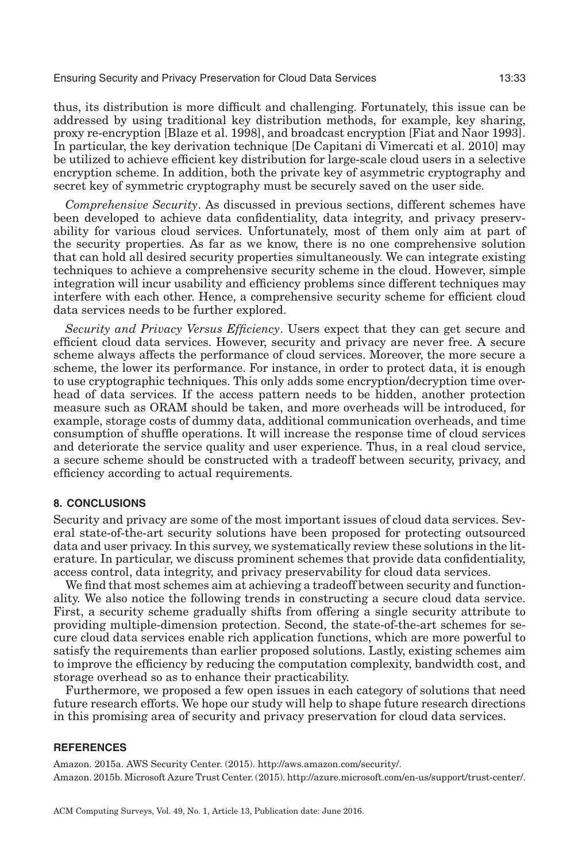thus, its distribution is more difficult and challenging. Fortunately, this issue can be addressed by using traditional key distribution methods, for example, key sharing, proxy re-encryption [Blaze et al. [1998\]](#page-33-15), and broadcast encryption [Fiat and Naor [1993\]](#page-34-21). In particular, the key derivation technique [De Capitani di Vimercati et al. [2010\]](#page-34-10) may be utilized to achieve efficient key distribution for large-scale cloud users in a selective encryption scheme. In addition, both the private key of asymmetric cryptography and secret key of symmetric cryptography must be securely saved on the user side.

*Comprehensive Security*. As discussed in previous sections, different schemes have been developed to achieve data confidentiality, data integrity, and privacy preservability for various cloud services. Unfortunately, most of them only aim at part of the security properties. As far as we know, there is no one comprehensive solution that can hold all desired security properties simultaneously. We can integrate existing techniques to achieve a comprehensive security scheme in the cloud. However, simple integration will incur usability and efficiency problems since different techniques may interfere with each other. Hence, a comprehensive security scheme for efficient cloud data services needs to be further explored.

*Security and Privacy Versus Efficiency*. Users expect that they can get secure and efficient cloud data services. However, security and privacy are never free. A secure scheme always affects the performance of cloud services. Moreover, the more secure a scheme, the lower its performance. For instance, in order to protect data, it is enough to use cryptographic techniques. This only adds some encryption/decryption time overhead of data services. If the access pattern needs to be hidden, another protection measure such as ORAM should be taken, and more overheads will be introduced, for example, storage costs of dummy data, additional communication overheads, and time consumption of shuffle operations. It will increase the response time of cloud services and deteriorate the service quality and user experience. Thus, in a real cloud service, a secure scheme should be constructed with a tradeoff between security, privacy, and efficiency according to actual requirements.

#### **8. CONCLUSIONS**

<span id="page-32-2"></span>Security and privacy are some of the most important issues of cloud data services. Several state-of-the-art security solutions have been proposed for protecting outsourced data and user privacy. In this survey, we systematically review these solutions in the literature. In particular, we discuss prominent schemes that provide data confidentiality, access control, data integrity, and privacy preservability for cloud data services.

We find that most schemes aim at achieving a tradeoff between security and functionality. We also notice the following trends in constructing a secure cloud data service. First, a security scheme gradually shifts from offering a single security attribute to providing multiple-dimension protection. Second, the state-of-the-art schemes for secure cloud data services enable rich application functions, which are more powerful to satisfy the requirements than earlier proposed solutions. Lastly, existing schemes aim to improve the efficiency by reducing the computation complexity, bandwidth cost, and storage overhead so as to enhance their practicability.

Furthermore, we proposed a few open issues in each category of solutions that need future research efforts. We hope our study will help to shape future research directions in this promising area of security and privacy preservation for cloud data services.

### **REFERENCES**

<span id="page-32-1"></span><span id="page-32-0"></span>Amazon. 2015a. AWS Security Center. (2015). [http://aws.amazon.com/security/.](http://aws.amazon.com/security/) Amazon. 2015b. Microsoft Azure Trust Center. (2015). [http://azure.microsoft.com/en-us/support/trust-center/.](http://azure.microsoft.com/en-us/support/trust-center/)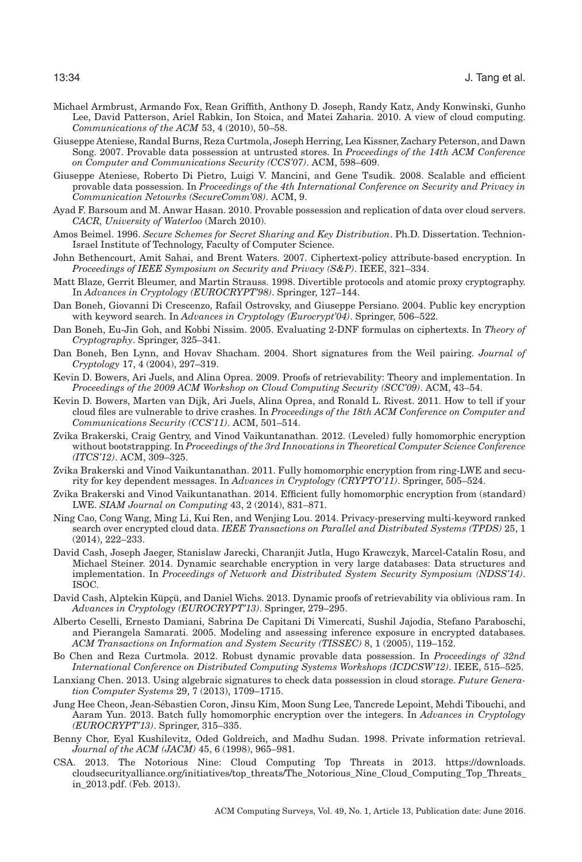- <span id="page-33-0"></span>Michael Armbrust, Armando Fox, Rean Griffith, Anthony D. Joseph, Randy Katz, Andy Konwinski, Gunho Lee, David Patterson, Ariel Rabkin, Ion Stoica, and Matei Zaharia. 2010. A view of cloud computing. *Communications of the ACM* 53, 4 (2010), 50–58.
- <span id="page-33-3"></span>Giuseppe Ateniese, Randal Burns, Reza Curtmola, Joseph Herring, Lea Kissner, Zachary Peterson, and Dawn Song. 2007. Provable data possession at untrusted stores. In *Proceedings of the 14th ACM Conference on Computer and Communications Security (CCS'07)*. ACM, 598–609.
- <span id="page-33-18"></span>Giuseppe Ateniese, Roberto Di Pietro, Luigi V. Mancini, and Gene Tsudik. 2008. Scalable and efficient provable data possession. In *Proceedings of the 4th International Conference on Security and Privacy in Communication Netowrks (SecureComm'08)*. ACM, 9.
- <span id="page-33-20"></span>Ayad F. Barsoum and M. Anwar Hasan. 2010. Provable possession and replication of data over cloud servers. *CACR, University of Waterloo* (March 2010).
- <span id="page-33-14"></span>Amos Beimel. 1996. *Secure Schemes for Secret Sharing and Key Distribution*. Ph.D. Dissertation. Technion-Israel Institute of Technology, Faculty of Computer Science.
- <span id="page-33-13"></span>John Bethencourt, Amit Sahai, and Brent Waters. 2007. Ciphertext-policy attribute-based encryption. In *Proceedings of IEEE Symposium on Security and Privacy (S&P)*. IEEE, 321–334.
- <span id="page-33-15"></span>Matt Blaze, Gerrit Bleumer, and Martin Strauss. 1998. Divertible protocols and atomic proxy cryptography. In *Advances in Cryptology (EUROCRYPT'98)*. Springer, 127–144.
- <span id="page-33-6"></span>Dan Boneh, Giovanni Di Crescenzo, Rafail Ostrovsky, and Giuseppe Persiano. 2004. Public key encryption with keyword search. In *Advances in Cryptology (Eurocrypt'04)*. Springer, 506–522.
- <span id="page-33-8"></span>Dan Boneh, Eu-Jin Goh, and Kobbi Nissim. 2005. Evaluating 2-DNF formulas on ciphertexts. In *Theory of Cryptography*. Springer, 325–341.
- <span id="page-33-21"></span>Dan Boneh, Ben Lynn, and Hovav Shacham. 2004. Short signatures from the Weil pairing. *Journal of Cryptology* 17, 4 (2004), 297–319.
- <span id="page-33-23"></span>Kevin D. Bowers, Ari Juels, and Alina Oprea. 2009. Proofs of retrievability: Theory and implementation. In *Proceedings of the 2009 ACM Workshop on Cloud Computing Security (SCC'09)*. ACM, 43–54.
- <span id="page-33-2"></span>Kevin D. Bowers, Marten van Dijk, Ari Juels, Alina Oprea, and Ronald L. Rivest. 2011. How to tell if your cloud files are vulnerable to drive crashes. In *Proceedings of the 18th ACM Conference on Computer and Communications Security (CCS'11)*. ACM, 501–514.
- <span id="page-33-10"></span>Zvika Brakerski, Craig Gentry, and Vinod Vaikuntanathan. 2012. (Leveled) fully homomorphic encryption without bootstrapping. In *Proceedings of the 3rd Innovations in Theoretical Computer Science Conference (ITCS'12)*. ACM, 309–325.
- <span id="page-33-12"></span>Zvika Brakerski and Vinod Vaikuntanathan. 2011. Fully homomorphic encryption from ring-LWE and security for key dependent messages. In *Advances in Cryptology (CRYPTO'11)*. Springer, 505–524.
- <span id="page-33-11"></span>Zvika Brakerski and Vinod Vaikuntanathan. 2014. Efficient fully homomorphic encryption from (standard) LWE. *SIAM Journal on Computing* 43, 2 (2014), 831–871.
- <span id="page-33-5"></span>Ning Cao, Cong Wang, Ming Li, Kui Ren, and Wenjing Lou. 2014. Privacy-preserving multi-keyword ranked search over encrypted cloud data. *IEEE Transactions on Parallel and Distributed Systems (TPDS)* 25, 1 (2014), 222–233.
- <span id="page-33-7"></span>David Cash, Joseph Jaeger, Stanislaw Jarecki, Charanjit Jutla, Hugo Krawczyk, Marcel-Catalin Rosu, and Michael Steiner. 2014. Dynamic searchable encryption in very large databases: Data structures and implementation. In *Proceedings of Network and Distributed System Security Symposium (NDSS'14)*. ISOC.
- <span id="page-33-17"></span>David Cash, Alptekin Küpçü, and Daniel Wichs. 2013. Dynamic proofs of retrievability via oblivious ram. In *Advances in Cryptology (EUROCRYPT'13)*. Springer, 279–295.
- <span id="page-33-22"></span>Alberto Ceselli, Ernesto Damiani, Sabrina De Capitani Di Vimercati, Sushil Jajodia, Stefano Paraboschi, and Pierangela Samarati. 2005. Modeling and assessing inference exposure in encrypted databases. *ACM Transactions on Information and System Security (TISSEC)* 8, 1 (2005), 119–152.
- <span id="page-33-16"></span>Bo Chen and Reza Curtmola. 2012. Robust dynamic provable data possession. In *Proceedings of 32nd International Conference on Distributed Computing Systems Workshops (ICDCSW'12)*. IEEE, 515–525.
- <span id="page-33-19"></span>Lanxiang Chen. 2013. Using algebraic signatures to check data possession in cloud storage. *Future Generation Computer Systems* 29, 7 (2013), 1709–1715.
- <span id="page-33-9"></span>Jung Hee Cheon, Jean-Sebastien Coron, Jinsu Kim, Moon Sung Lee, Tancrede Lepoint, Mehdi Tibouchi, and ´ Aaram Yun. 2013. Batch fully homomorphic encryption over the integers. In *Advances in Cryptology (EUROCRYPT'13)*. Springer, 315–335.
- <span id="page-33-4"></span>Benny Chor, Eyal Kushilevitz, Oded Goldreich, and Madhu Sudan. 1998. Private information retrieval. *Journal of the ACM (JACM)* 45, 6 (1998), 965–981.
- <span id="page-33-1"></span>CSA. 2013. The Notorious Nine: Cloud Computing Top Threats in 2013. [https://downloads.](https://downloads.cloudsecurityalliance.org/initiatives/topthreats/TheNotoriousNineCloudComputingTopThreatsin2013.pdf) [cloudsecurityalliance.org/initiatives/top\\_threats/The\\_Notorious\\_Nine\\_Cloud\\_Computing\\_Top\\_Threats\\_](https://downloads.cloudsecurityalliance.org/initiatives/topthreats/TheNotoriousNineCloudComputingTopThreatsin2013.pdf) [in\\_2013.pdf.](https://downloads.cloudsecurityalliance.org/initiatives/topthreats/TheNotoriousNineCloudComputingTopThreatsin2013.pdf) (Feb. 2013).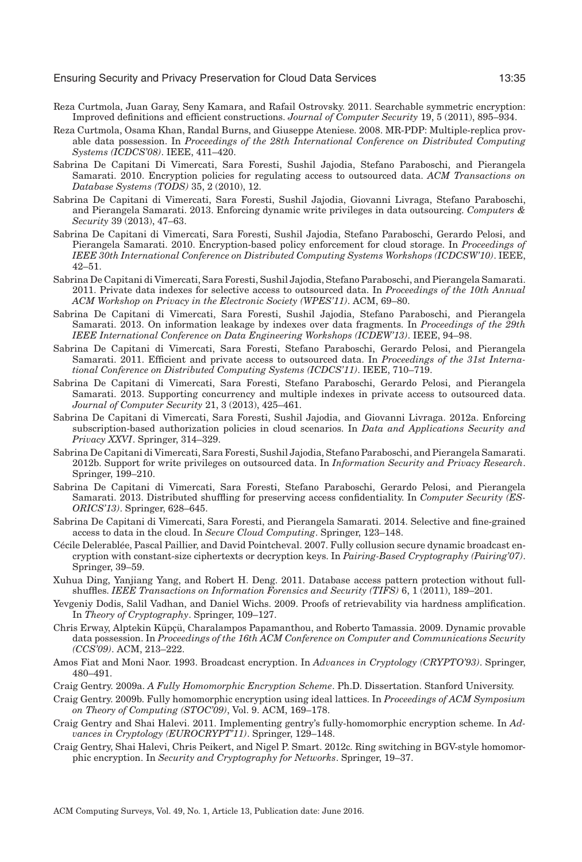- <span id="page-34-4"></span>Reza Curtmola, Juan Garay, Seny Kamara, and Rafail Ostrovsky. 2011. Searchable symmetric encryption: Improved definitions and efficient constructions. *Journal of Computer Security* 19, 5 (2011), 895–934.
- <span id="page-34-14"></span>Reza Curtmola, Osama Khan, Randal Burns, and Giuseppe Ateniese. 2008. MR-PDP: Multiple-replica provable data possession. In *Proceedings of the 28th International Conference on Distributed Computing Systems (ICDCS'08)*. IEEE, 411–420.
- <span id="page-34-1"></span>Sabrina De Capitani Di Vimercati, Sara Foresti, Sushil Jajodia, Stefano Paraboschi, and Pierangela Samarati. 2010. Encryption policies for regulating access to outsourced data. *ACM Transactions on Database Systems (TODS)* 35, 2 (2010), 12.
- <span id="page-34-9"></span>Sabrina De Capitani di Vimercati, Sara Foresti, Sushil Jajodia, Giovanni Livraga, Stefano Paraboschi, and Pierangela Samarati. 2013. Enforcing dynamic write privileges in data outsourcing. *Computers & Security* 39 (2013), 47–63.
- <span id="page-34-10"></span>Sabrina De Capitani di Vimercati, Sara Foresti, Sushil Jajodia, Stefano Paraboschi, Gerardo Pelosi, and Pierangela Samarati. 2010. Encryption-based policy enforcement for cloud storage. In *Proceedings of IEEE 30th International Conference on Distributed Computing Systems Workshops (ICDCSW'10)*. IEEE, 42–51.
- <span id="page-34-3"></span>Sabrina De Capitani di Vimercati, Sara Foresti, Sushil Jajodia, Stefano Paraboschi, and Pierangela Samarati. 2011. Private data indexes for selective access to outsourced data. In *Proceedings of the 10th Annual ACM Workshop on Privacy in the Electronic Society (WPES'11)*. ACM, 69–80.
- <span id="page-34-18"></span>Sabrina De Capitani di Vimercati, Sara Foresti, Sushil Jajodia, Stefano Paraboschi, and Pierangela Samarati. 2013. On information leakage by indexes over data fragments. In *Proceedings of the 29th IEEE International Conference on Data Engineering Workshops (ICDEW'13)*. IEEE, 94–98.
- <span id="page-34-15"></span>Sabrina De Capitani di Vimercati, Sara Foresti, Stefano Paraboschi, Gerardo Pelosi, and Pierangela Samarati. 2011. Efficient and private access to outsourced data. In *Proceedings of the 31st International Conference on Distributed Computing Systems (ICDCS'11)*. IEEE, 710–719.
- <span id="page-34-17"></span>Sabrina De Capitani di Vimercati, Sara Foresti, Stefano Paraboschi, Gerardo Pelosi, and Pierangela Samarati. 2013. Supporting concurrency and multiple indexes in private access to outsourced data. *Journal of Computer Security* 21, 3 (2013), 425–461.
- <span id="page-34-20"></span>Sabrina De Capitani di Vimercati, Sara Foresti, Sushil Jajodia, and Giovanni Livraga. 2012a. Enforcing subscription-based authorization policies in cloud scenarios. In *Data and Applications Security and Privacy XXVI*. Springer, 314–329.
- <span id="page-34-11"></span>Sabrina De Capitani di Vimercati, Sara Foresti, Sushil Jajodia, Stefano Paraboschi, and Pierangela Samarati. 2012b. Support for write privileges on outsourced data. In *Information Security and Privacy Research*. Springer, 199–210.
- <span id="page-34-16"></span>Sabrina De Capitani di Vimercati, Sara Foresti, Stefano Paraboschi, Gerardo Pelosi, and Pierangela Samarati. 2013. Distributed shuffling for preserving access confidentiality. In *Computer Security (ES-ORICS'13)*. Springer, 628–645.
- <span id="page-34-8"></span>Sabrina De Capitani di Vimercati, Sara Foresti, and Pierangela Samarati. 2014. Selective and fine-grained access to data in the cloud. In *Secure Cloud Computing*. Springer, 123–148.
- <span id="page-34-19"></span>Cécile Delerablée, Pascal Paillier, and David Pointcheval. 2007. Fully collusion secure dynamic broadcast encryption with constant-size ciphertexts or decryption keys. In *Pairing-Based Cryptography (Pairing'07)*. Springer, 39–59.
- <span id="page-34-2"></span>Xuhua Ding, Yanjiang Yang, and Robert H. Deng. 2011. Database access pattern protection without fullshuffles. *IEEE Transactions on Information Forensics and Security (TIFS)* 6, 1 (2011), 189–201.
- <span id="page-34-13"></span>Yevgeniy Dodis, Salil Vadhan, and Daniel Wichs. 2009. Proofs of retrievability via hardness amplification. In *Theory of Cryptography*. Springer, 109–127.
- <span id="page-34-12"></span>Chris Erway, Alptekin Küpçü, Charalampos Papamanthou, and Roberto Tamassia. 2009. Dynamic provable data possession. In *Proceedings of the 16th ACM Conference on Computer and Communications Security (CCS'09)*. ACM, 213–222.
- <span id="page-34-21"></span>Amos Fiat and Moni Naor. 1993. Broadcast encryption. In *Advances in Cryptology (CRYPTO'93)*. Springer, 480–491.
- <span id="page-34-5"></span>Craig Gentry. 2009a. *A Fully Homomorphic Encryption Scheme*. Ph.D. Dissertation. Stanford University.
- <span id="page-34-0"></span>Craig Gentry. 2009b. Fully homomorphic encryption using ideal lattices. In *Proceedings of ACM Symposium on Theory of Computing (STOC'09)*, Vol. 9. ACM, 169–178.
- <span id="page-34-6"></span>Craig Gentry and Shai Halevi. 2011. Implementing gentry's fully-homomorphic encryption scheme. In *Advances in Cryptology (EUROCRYPT'11)*. Springer, 129–148.
- <span id="page-34-7"></span>Craig Gentry, Shai Halevi, Chris Peikert, and Nigel P. Smart. 2012c. Ring switching in BGV-style homomorphic encryption. In *Security and Cryptography for Networks*. Springer, 19–37.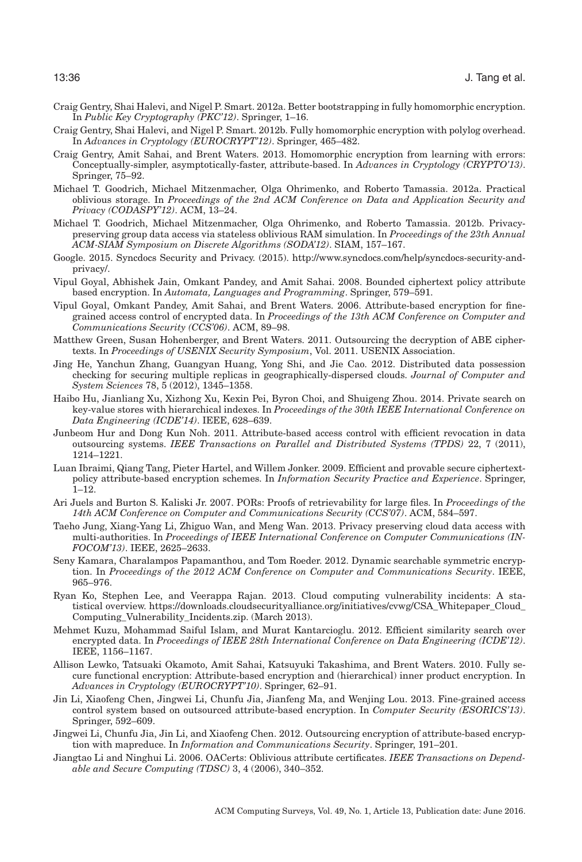- <span id="page-35-9"></span>Craig Gentry, Shai Halevi, and Nigel P. Smart. 2012a. Better bootstrapping in fully homomorphic encryption. In *Public Key Cryptography (PKC'12)*. Springer, 1–16.
- <span id="page-35-8"></span>Craig Gentry, Shai Halevi, and Nigel P. Smart. 2012b. Fully homomorphic encryption with polylog overhead. In *Advances in Cryptology (EUROCRYPT'12)*. Springer, 465–482.
- <span id="page-35-7"></span>Craig Gentry, Amit Sahai, and Brent Waters. 2013. Homomorphic encryption from learning with errors: Conceptually-simpler, asymptotically-faster, attribute-based. In *Advances in Cryptology (CRYPTO'13)*. Springer, 75–92.
- <span id="page-35-17"></span>Michael T. Goodrich, Michael Mitzenmacher, Olga Ohrimenko, and Roberto Tamassia. 2012a. Practical oblivious storage. In *Proceedings of the 2nd ACM Conference on Data and Application Security and Privacy (CODASPY'12)*. ACM, 13–24.
- <span id="page-35-18"></span>Michael T. Goodrich, Michael Mitzenmacher, Olga Ohrimenko, and Roberto Tamassia. 2012b. Privacypreserving group data access via stateless oblivious RAM simulation. In *Proceedings of the 23th Annual ACM-SIAM Symposium on Discrete Algorithms (SODA'12)*. SIAM, 157–167.
- <span id="page-35-1"></span>Google. 2015. Syncdocs Security and Privacy. (2015). [http://www.syncdocs.com/help/syncdocs-security-and](http://www.syncdocs.com/help/syncdocs-security-and-privacy/)[privacy/.](http://www.syncdocs.com/help/syncdocs-security-and-privacy/)
- <span id="page-35-12"></span>Vipul Goyal, Abhishek Jain, Omkant Pandey, and Amit Sahai. 2008. Bounded ciphertext policy attribute based encryption. In *Automata, Languages and Programming*. Springer, 579–591.
- <span id="page-35-11"></span>Vipul Goyal, Omkant Pandey, Amit Sahai, and Brent Waters. 2006. Attribute-based encryption for finegrained access control of encrypted data. In *Proceedings of the 13th ACM Conference on Computer and Communications Security (CCS'06)*. ACM, 89–98.
- <span id="page-35-14"></span>Matthew Green, Susan Hohenberger, and Brent Waters. 2011. Outsourcing the decryption of ABE ciphertexts. In *Proceedings of USENIX Security Symposium*, Vol. 2011. USENIX Association.
- <span id="page-35-16"></span>Jing He, Yanchun Zhang, Guangyan Huang, Yong Shi, and Jie Cao. 2012. Distributed data possession checking for securing multiple replicas in geographically-dispersed clouds. *Journal of Computer and System Sciences* 78, 5 (2012), 1345–1358.
- <span id="page-35-19"></span>Haibo Hu, Jianliang Xu, Xizhong Xu, Kexin Pei, Byron Choi, and Shuigeng Zhou. 2014. Private search on key-value stores with hierarchical indexes. In *Proceedings of the 30th IEEE International Conference on Data Engineering (ICDE'14)*. IEEE, 628–639.
- <span id="page-35-3"></span>Junbeom Hur and Dong Kun Noh. 2011. Attribute-based access control with efficient revocation in data outsourcing systems. *IEEE Transactions on Parallel and Distributed Systems (TPDS)* 22, 7 (2011), 1214–1221.
- <span id="page-35-13"></span>Luan Ibraimi, Qiang Tang, Pieter Hartel, and Willem Jonker. 2009. Efficient and provable secure ciphertextpolicy attribute-based encryption schemes. In *Information Security Practice and Experience*. Springer, 1–12.
- <span id="page-35-4"></span>Ari Juels and Burton S. Kaliski Jr. 2007. PORs: Proofs of retrievability for large files. In *Proceedings of the 14th ACM Conference on Computer and Communications Security (CCS'07)*. ACM, 584–597.
- <span id="page-35-21"></span>Taeho Jung, Xiang-Yang Li, Zhiguo Wan, and Meng Wan. 2013. Privacy preserving cloud data access with multi-authorities. In *Proceedings of IEEE International Conference on Computer Communications (IN-FOCOM'13)*. IEEE, 2625–2633.
- <span id="page-35-5"></span>Seny Kamara, Charalampos Papamanthou, and Tom Roeder. 2012. Dynamic searchable symmetric encryption. In *Proceedings of the 2012 ACM Conference on Computer and Communications Security*. IEEE, 965–976.
- <span id="page-35-0"></span>Ryan Ko, Stephen Lee, and Veerappa Rajan. 2013. Cloud computing vulnerability incidents: A statistical overview. [https://downloads.cloudsecurityalliance.org/initiatives/cvwg/CSA\\_Whitepaper\\_Cloud\\_](https://downloads.cloudsecurityalliance.org/initiatives/cvwg/CSAWhitepaperCloudComputingVulnerabilityIncidents.zip) [Computing\\_Vulnerability\\_Incidents.zip.](https://downloads.cloudsecurityalliance.org/initiatives/cvwg/CSAWhitepaperCloudComputingVulnerabilityIncidents.zip) (March 2013).
- <span id="page-35-6"></span>Mehmet Kuzu, Mohammad Saiful Islam, and Murat Kantarcioglu. 2012. Efficient similarity search over encrypted data. In *Proceedings of IEEE 28th International Conference on Data Engineering (ICDE'12)*. IEEE, 1156–1167.
- <span id="page-35-15"></span>Allison Lewko, Tatsuaki Okamoto, Amit Sahai, Katsuyuki Takashima, and Brent Waters. 2010. Fully secure functional encryption: Attribute-based encryption and (hierarchical) inner product encryption. In *Advances in Cryptology (EUROCRYPT'10)*. Springer, 62–91.
- <span id="page-35-10"></span>Jin Li, Xiaofeng Chen, Jingwei Li, Chunfu Jia, Jianfeng Ma, and Wenjing Lou. 2013. Fine-grained access control system based on outsourced attribute-based encryption. In *Computer Security (ESORICS'13)*. Springer, 592–609.
- <span id="page-35-2"></span>Jingwei Li, Chunfu Jia, Jin Li, and Xiaofeng Chen. 2012. Outsourcing encryption of attribute-based encryption with mapreduce. In *Information and Communications Security*. Springer, 191–201.
- <span id="page-35-20"></span>Jiangtao Li and Ninghui Li. 2006. OACerts: Oblivious attribute certificates. *IEEE Transactions on Dependable and Secure Computing (TDSC)* 3, 4 (2006), 340–352.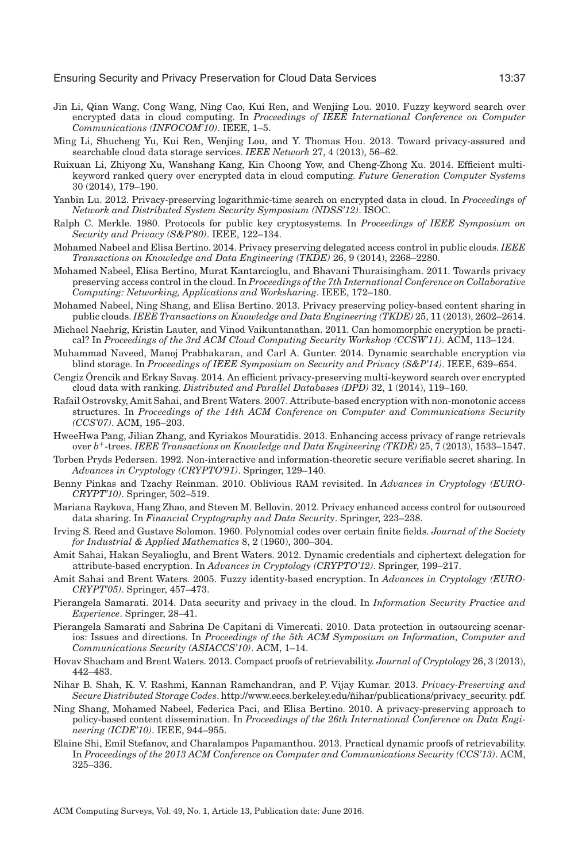- <span id="page-36-7"></span>Jin Li, Qian Wang, Cong Wang, Ning Cao, Kui Ren, and Wenjing Lou. 2010. Fuzzy keyword search over encrypted data in cloud computing. In *Proceedings of IEEE International Conference on Computer Communications (INFOCOM'10)*. IEEE, 1–5.
- <span id="page-36-4"></span>Ming Li, Shucheng Yu, Kui Ren, Wenjing Lou, and Y. Thomas Hou. 2013. Toward privacy-assured and searchable cloud data storage services. *IEEE Network* 27, 4 (2013), 56–62.
- <span id="page-36-1"></span>Ruixuan Li, Zhiyong Xu, Wanshang Kang, Kin Choong Yow, and Cheng-Zhong Xu. 2014. Efficient multikeyword ranked query over encrypted data in cloud computing. *Future Generation Computer Systems* 30 (2014), 179–190.
- <span id="page-36-6"></span>Yanbin Lu. 2012. Privacy-preserving logarithmic-time search on encrypted data in cloud. In *Proceedings of Network and Distributed System Security Symposium (NDSS'12)*. ISOC.
- <span id="page-36-16"></span>Ralph C. Merkle. 1980. Protocols for public key cryptosystems. In *Proceedings of IEEE Symposium on Security and Privacy (S&P'80)*. IEEE, 122–134.
- <span id="page-36-11"></span>Mohamed Nabeel and Elisa Bertino. 2014. Privacy preserving delegated access control in public clouds. *IEEE Transactions on Knowledge and Data Engineering (TKDE)* 26, 9 (2014), 2268–2280.
- <span id="page-36-3"></span>Mohamed Nabeel, Elisa Bertino, Murat Kantarcioglu, and Bhavani Thuraisingham. 2011. Towards privacy preserving access control in the cloud. In *Proceedings of the 7th International Conference on Collaborative Computing: Networking, Applications and Worksharing*. IEEE, 172–180.
- <span id="page-36-21"></span>Mohamed Nabeel, Ning Shang, and Elisa Bertino. 2013. Privacy preserving policy-based content sharing in public clouds. *IEEE Transactions on Knowledge and Data Engineering (TKDE)* 25, 11 (2013), 2602–2614.
- <span id="page-36-9"></span>Michael Naehrig, Kristin Lauter, and Vinod Vaikuntanathan. 2011. Can homomorphic encryption be practical? In *Proceedings of the 3rd ACM Cloud Computing Security Workshop (CCSW'11)*. ACM, 113–124.
- <span id="page-36-8"></span>Muhammad Naveed, Manoj Prabhakaran, and Carl A. Gunter. 2014. Dynamic searchable encryption via blind storage. In *Proceedings of IEEE Symposium on Security and Privacy (S&P'14)*. IEEE, 639–654.
- <span id="page-36-5"></span>Cengiz Örencik and Erkay Savaş. 2014. An efficient privacy-preserving multi-keyword search over encrypted cloud data with ranking. *Distributed and Parallel Databases (DPD)* 32, 1 (2014), 119–160.
- <span id="page-36-12"></span>Rafail Ostrovsky, Amit Sahai, and Brent Waters. 2007. Attribute-based encryption with non-monotonic access structures. In *Proceedings of the 14th ACM Conference on Computer and Communications Security (CCS'07)*. ACM, 195–203.
- <span id="page-36-20"></span>HweeHwa Pang, Jilian Zhang, and Kyriakos Mouratidis. 2013. Enhancing access privacy of range retrievals over *b*+-trees. *IEEE Transactions on Knowledge and Data Engineering (TKDE)* 25, 7 (2013), 1533–1547.
- <span id="page-36-23"></span>Torben Pryds Pedersen. 1992. Non-interactive and information-theoretic secure verifiable secret sharing. In *Advances in Cryptology (CRYPTO'91)*. Springer, 129–140.
- <span id="page-36-18"></span>Benny Pinkas and Tzachy Reinman. 2010. Oblivious RAM revisited. In *Advances in Cryptology (EURO-CRYPT'10)*. Springer, 502–519.
- <span id="page-36-10"></span>Mariana Raykova, Hang Zhao, and Steven M. Bellovin. 2012. Privacy enhanced access control for outsourced data sharing. In *Financial Cryptography and Data Security*. Springer, 223–238.
- <span id="page-36-15"></span>Irving S. Reed and Gustave Solomon. 1960. Polynomial codes over certain finite fields. *Journal of the Society for Industrial & Applied Mathematics* 8, 2 (1960), 300–304.
- <span id="page-36-13"></span>Amit Sahai, Hakan Seyalioglu, and Brent Waters. 2012. Dynamic credentials and ciphertext delegation for attribute-based encryption. In *Advances in Cryptology (CRYPTO'12)*. Springer, 199–217.
- <span id="page-36-2"></span>Amit Sahai and Brent Waters. 2005. Fuzzy identity-based encryption. In *Advances in Cryptology (EURO-CRYPT'05)*. Springer, 457–473.
- <span id="page-36-0"></span>Pierangela Samarati. 2014. Data security and privacy in the cloud. In *Information Security Practice and Experience*. Springer, 28–41.
- <span id="page-36-24"></span>Pierangela Samarati and Sabrina De Capitani di Vimercati. 2010. Data protection in outsourcing scenarios: Issues and directions. In *Proceedings of the 5th ACM Symposium on Information, Computer and Communications Security (ASIACCS'10)*. ACM, 1–14.
- <span id="page-36-14"></span>Hovav Shacham and Brent Waters. 2013. Compact proofs of retrievability. *Journal of Cryptology* 26, 3 (2013), 442–483.
- <span id="page-36-19"></span>Nihar B. Shah, K. V. Rashmi, Kannan Ramchandran, and P. Vijay Kumar. 2013. *Privacy-Preserving and Secure Distributed Storage Codes*. [http://www.eecs.berkeley.edu/n](http://www.eecs.berkeley.edu/)ihar/publications/privacy\_security. pdf. ˜
- <span id="page-36-22"></span>Ning Shang, Mohamed Nabeel, Federica Paci, and Elisa Bertino. 2010. A privacy-preserving approach to policy-based content dissemination. In *Proceedings of the 26th International Conference on Data Engineering (ICDE'10)*. IEEE, 944–955.
- <span id="page-36-17"></span>Elaine Shi, Emil Stefanov, and Charalampos Papamanthou. 2013. Practical dynamic proofs of retrievability. In *Proceedings of the 2013 ACM Conference on Computer and Communications Security (CCS'13)*. ACM, 325–336.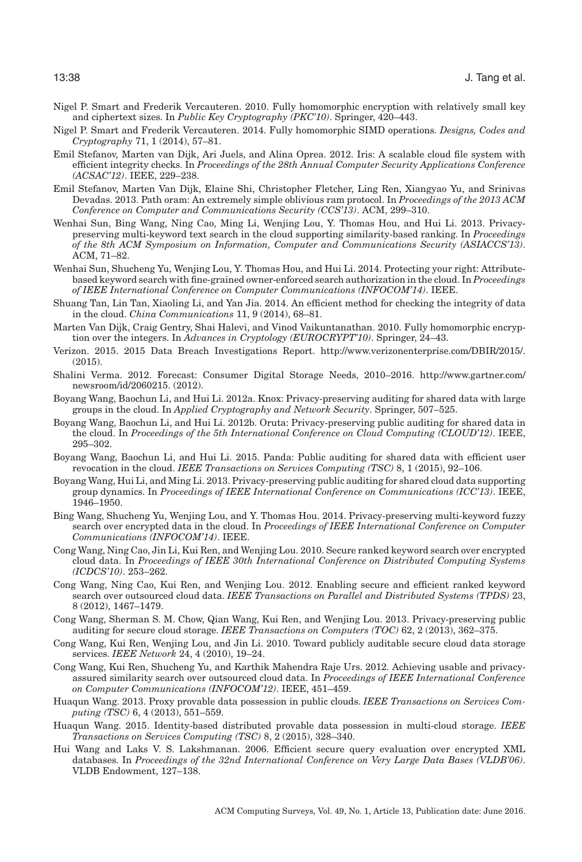- <span id="page-37-9"></span>Nigel P. Smart and Frederik Vercauteren. 2010. Fully homomorphic encryption with relatively small key and ciphertext sizes. In *Public Key Cryptography (PKC'10)*. Springer, 420–443.
- <span id="page-37-15"></span>Nigel P. Smart and Frederik Vercauteren. 2014. Fully homomorphic SIMD operations. *Designs, Codes and Cryptography* 71, 1 (2014), 57–81.
- <span id="page-37-16"></span>Emil Stefanov, Marten van Dijk, Ari Juels, and Alina Oprea. 2012. Iris: A scalable cloud file system with efficient integrity checks. In *Proceedings of the 28th Annual Computer Security Applications Conference (ACSAC'12)*. IEEE, 229–238.
- <span id="page-37-20"></span>Emil Stefanov, Marten Van Dijk, Elaine Shi, Christopher Fletcher, Ling Ren, Xiangyao Yu, and Srinivas Devadas. 2013. Path oram: An extremely simple oblivious ram protocol. In *Proceedings of the 2013 ACM Conference on Computer and Communications Security (CCS'13)*. ACM, 299–310.
- <span id="page-37-4"></span>Wenhai Sun, Bing Wang, Ning Cao, Ming Li, Wenjing Lou, Y. Thomas Hou, and Hui Li. 2013. Privacypreserving multi-keyword text search in the cloud supporting similarity-based ranking. In *Proceedings of the 8th ACM Symposium on Information, Computer and Communications Security (ASIACCS'13)*. ACM, 71–82.
- <span id="page-37-10"></span>Wenhai Sun, Shucheng Yu, Wenjing Lou, Y. Thomas Hou, and Hui Li. 2014. Protecting your right: Attributebased keyword search with fine-grained owner-enforced search authorization in the cloud. In *Proceedings of IEEE International Conference on Computer Communications (INFOCOM'14)*. IEEE.
- <span id="page-37-17"></span>Shuang Tan, Lin Tan, Xiaoling Li, and Yan Jia. 2014. An efficient method for checking the integrity of data in the cloud. *China Communications* 11, 9 (2014), 68–81.
- <span id="page-37-14"></span>Marten Van Dijk, Craig Gentry, Shai Halevi, and Vinod Vaikuntanathan. 2010. Fully homomorphic encryption over the integers. In *Advances in Cryptology (EUROCRYPT'10)*. Springer, 24–43.
- <span id="page-37-1"></span>Verizon. 2015. 2015 Data Breach Investigations Report. [http://www.verizonenterprise.com/DBIR/2015/.](http://www.verizonenterprise.com/DBIR/2015/) (2015).
- <span id="page-37-0"></span>Shalini Verma. 2012. Forecast: Consumer Digital Storage Needs, 2010–2016. [http://www.gartner.com/](http://www.gartner.com/newsroom/id/2060215) [newsroom/id/2060215.](http://www.gartner.com/newsroom/id/2060215) (2012).
- <span id="page-37-7"></span>Boyang Wang, Baochun Li, and Hui Li. 2012a. Knox: Privacy-preserving auditing for shared data with large groups in the cloud. In *Applied Cryptography and Network Security*. Springer, 507–525.
- <span id="page-37-8"></span>Boyang Wang, Baochun Li, and Hui Li. 2012b. Oruta: Privacy-preserving public auditing for shared data in the cloud. In *Proceedings of the 5th International Conference on Cloud Computing (CLOUD'12)*. IEEE, 295–302.
- <span id="page-37-3"></span>Boyang Wang, Baochun Li, and Hui Li. 2015. Panda: Public auditing for shared data with efficient user revocation in the cloud. *IEEE Transactions on Services Computing (TSC)* 8, 1 (2015), 92–106.
- <span id="page-37-22"></span>Boyang Wang, Hui Li, and Ming Li. 2013. Privacy-preserving public auditing for shared cloud data supporting group dynamics. In *Proceedings of IEEE International Conference on Communications (ICC'13)*. IEEE, 1946–1950.
- <span id="page-37-11"></span>Bing Wang, Shucheng Yu, Wenjing Lou, and Y. Thomas Hou. 2014. Privacy-preserving multi-keyword fuzzy search over encrypted data in the cloud. In *Proceedings of IEEE International Conference on Computer Communications (INFOCOM'14)*. IEEE.
- <span id="page-37-6"></span>Cong Wang, Ning Cao, Jin Li, Kui Ren, and Wenjing Lou. 2010. Secure ranked keyword search over encrypted cloud data. In *Proceedings of IEEE 30th International Conference on Distributed Computing Systems (ICDCS'10)*. 253–262.
- <span id="page-37-12"></span>Cong Wang, Ning Cao, Kui Ren, and Wenjing Lou. 2012. Enabling secure and efficient ranked keyword search over outsourced cloud data. *IEEE Transactions on Parallel and Distributed Systems (TPDS)* 23, 8 (2012), 1467–1479.
- <span id="page-37-2"></span>Cong Wang, Sherman S. M. Chow, Qian Wang, Kui Ren, and Wenjing Lou. 2013. Privacy-preserving public auditing for secure cloud storage. *IEEE Transactions on Computers (TOC)* 62, 2 (2013), 362–375.
- <span id="page-37-5"></span>Cong Wang, Kui Ren, Wenjing Lou, and Jin Li. 2010. Toward publicly auditable secure cloud data storage services. *IEEE Network* 24, 4 (2010), 19–24.
- <span id="page-37-13"></span>Cong Wang, Kui Ren, Shucheng Yu, and Karthik Mahendra Raje Urs. 2012. Achieving usable and privacyassured similarity search over outsourced cloud data. In *Proceedings of IEEE International Conference on Computer Communications (INFOCOM'12)*. IEEE, 451–459.
- <span id="page-37-18"></span>Huaqun Wang. 2013. Proxy provable data possession in public clouds. *IEEE Transactions on Services Computing (TSC)* 6, 4 (2013), 551–559.
- <span id="page-37-19"></span>Huaqun Wang. 2015. Identity-based distributed provable data possession in multi-cloud storage. *IEEE Transactions on Services Computing (TSC)* 8, 2 (2015), 328–340.
- <span id="page-37-21"></span>Hui Wang and Laks V. S. Lakshmanan. 2006. Efficient secure query evaluation over encrypted XML databases. In *Proceedings of the 32nd International Conference on Very Large Data Bases (VLDB'06)*. VLDB Endowment, 127–138.